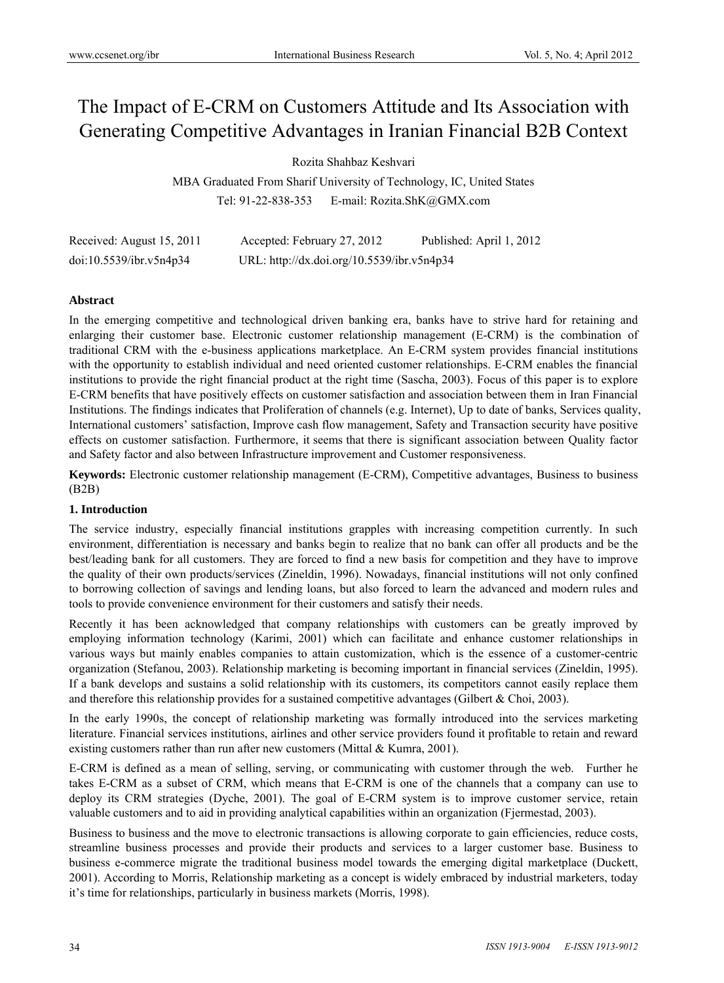# The Impact of E-CRM on Customers Attitude and Its Association with Generating Competitive Advantages in Iranian Financial B2B Context

# Rozita Shahbaz Keshvari

MBA Graduated From Sharif University of Technology, IC, United States Tel: 91-22-838-353 E-mail: Rozita.ShK@GMX.com

| Received: August 15, 2011 | Accepted: February 27, 2012                | Published: April 1, 2012 |
|---------------------------|--------------------------------------------|--------------------------|
| doi:10.5539/ibr.v5n4p34   | URL: http://dx.doi.org/10.5539/ibr.v5n4p34 |                          |

# **Abstract**

In the emerging competitive and technological driven banking era, banks have to strive hard for retaining and enlarging their customer base. Electronic customer relationship management (E-CRM) is the combination of traditional CRM with the e-business applications marketplace. An E-CRM system provides financial institutions with the opportunity to establish individual and need oriented customer relationships. E-CRM enables the financial institutions to provide the right financial product at the right time (Sascha, 2003). Focus of this paper is to explore E-CRM benefits that have positively effects on customer satisfaction and association between them in Iran Financial Institutions. The findings indicates that Proliferation of channels (e.g. Internet), Up to date of banks, Services quality, International customers' satisfaction, Improve cash flow management, Safety and Transaction security have positive effects on customer satisfaction. Furthermore, it seems that there is significant association between Quality factor and Safety factor and also between Infrastructure improvement and Customer responsiveness.

**Keywords:** Electronic customer relationship management (E-CRM), Competitive advantages, Business to business (B2B)

## **1. Introduction**

The service industry, especially financial institutions grapples with increasing competition currently. In such environment, differentiation is necessary and banks begin to realize that no bank can offer all products and be the best/leading bank for all customers. They are forced to find a new basis for competition and they have to improve the quality of their own products/services (Zineldin, 1996). Nowadays, financial institutions will not only confined to borrowing collection of savings and lending loans, but also forced to learn the advanced and modern rules and tools to provide convenience environment for their customers and satisfy their needs.

Recently it has been acknowledged that company relationships with customers can be greatly improved by employing information technology (Karimi, 2001) which can facilitate and enhance customer relationships in various ways but mainly enables companies to attain customization, which is the essence of a customer-centric organization (Stefanou, 2003). Relationship marketing is becoming important in financial services (Zineldin, 1995). If a bank develops and sustains a solid relationship with its customers, its competitors cannot easily replace them and therefore this relationship provides for a sustained competitive advantages (Gilbert & Choi, 2003).

In the early 1990s, the concept of relationship marketing was formally introduced into the services marketing literature. Financial services institutions, airlines and other service providers found it profitable to retain and reward existing customers rather than run after new customers (Mittal & Kumra, 2001).

E-CRM is defined as a mean of selling, serving, or communicating with customer through the web. Further he takes E-CRM as a subset of CRM, which means that E-CRM is one of the channels that a company can use to deploy its CRM strategies (Dyche, 2001). The goal of E-CRM system is to improve customer service, retain valuable customers and to aid in providing analytical capabilities within an organization (Fjermestad, 2003).

Business to business and the move to electronic transactions is allowing corporate to gain efficiencies, reduce costs, streamline business processes and provide their products and services to a larger customer base. Business to business e-commerce migrate the traditional business model towards the emerging digital marketplace (Duckett, 2001). According to Morris, Relationship marketing as a concept is widely embraced by industrial marketers, today it's time for relationships, particularly in business markets (Morris, 1998).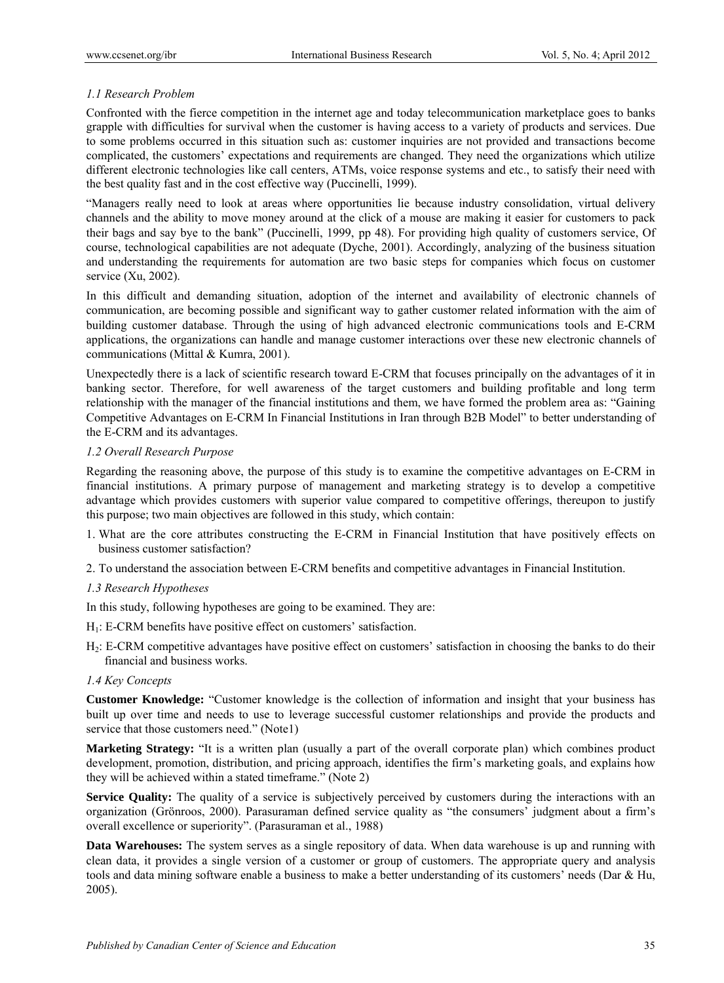# *1.1 Research Problem*

Confronted with the fierce competition in the internet age and today telecommunication marketplace goes to banks grapple with difficulties for survival when the customer is having access to a variety of products and services. Due to some problems occurred in this situation such as: customer inquiries are not provided and transactions become complicated, the customers' expectations and requirements are changed. They need the organizations which utilize different electronic technologies like call centers, ATMs, voice response systems and etc., to satisfy their need with the best quality fast and in the cost effective way (Puccinelli, 1999).

"Managers really need to look at areas where opportunities lie because industry consolidation, virtual delivery channels and the ability to move money around at the click of a mouse are making it easier for customers to pack their bags and say bye to the bank" (Puccinelli, 1999, pp 48). For providing high quality of customers service, Of course, technological capabilities are not adequate (Dyche, 2001). Accordingly, analyzing of the business situation and understanding the requirements for automation are two basic steps for companies which focus on customer service (Xu, 2002).

In this difficult and demanding situation, adoption of the internet and availability of electronic channels of communication, are becoming possible and significant way to gather customer related information with the aim of building customer database. Through the using of high advanced electronic communications tools and E-CRM applications, the organizations can handle and manage customer interactions over these new electronic channels of communications (Mittal & Kumra, 2001).

Unexpectedly there is a lack of scientific research toward E-CRM that focuses principally on the advantages of it in banking sector. Therefore, for well awareness of the target customers and building profitable and long term relationship with the manager of the financial institutions and them, we have formed the problem area as: "Gaining Competitive Advantages on E-CRM In Financial Institutions in Iran through B2B Model" to better understanding of the E-CRM and its advantages.

# *1.2 Overall Research Purpose*

Regarding the reasoning above, the purpose of this study is to examine the competitive advantages on E-CRM in financial institutions. A primary purpose of management and marketing strategy is to develop a competitive advantage which provides customers with superior value compared to competitive offerings, thereupon to justify this purpose; two main objectives are followed in this study, which contain:

- 1. What are the core attributes constructing the E-CRM in Financial Institution that have positively effects on business customer satisfaction?
- 2. To understand the association between E-CRM benefits and competitive advantages in Financial Institution.

# *1.3 Research Hypotheses*

In this study, following hypotheses are going to be examined. They are:

- $H_1$ : E-CRM benefits have positive effect on customers' satisfaction.
- H2: E-CRM competitive advantages have positive effect on customers' satisfaction in choosing the banks to do their financial and business works.

## *1.4 Key Concepts*

**Customer Knowledge:** "Customer knowledge is the collection of information and insight that your business has built up over time and needs to use to leverage successful customer relationships and provide the products and service that those customers need." (Note1)

**Marketing Strategy:** "It is a written plan (usually a part of the overall corporate plan) which combines product development, promotion, distribution, and pricing approach, identifies the firm's marketing goals, and explains how they will be achieved within a stated timeframe." (Note 2)

**Service Quality:** The quality of a service is subjectively perceived by customers during the interactions with an organization (Grönroos, 2000). Parasuraman defined service quality as "the consumers' judgment about a firm's overall excellence or superiority". (Parasuraman et al., 1988)

**Data Warehouses:** The system serves as a single repository of data. When data warehouse is up and running with clean data, it provides a single version of a customer or group of customers. The appropriate query and analysis tools and data mining software enable a business to make a better understanding of its customers' needs (Dar & Hu, 2005).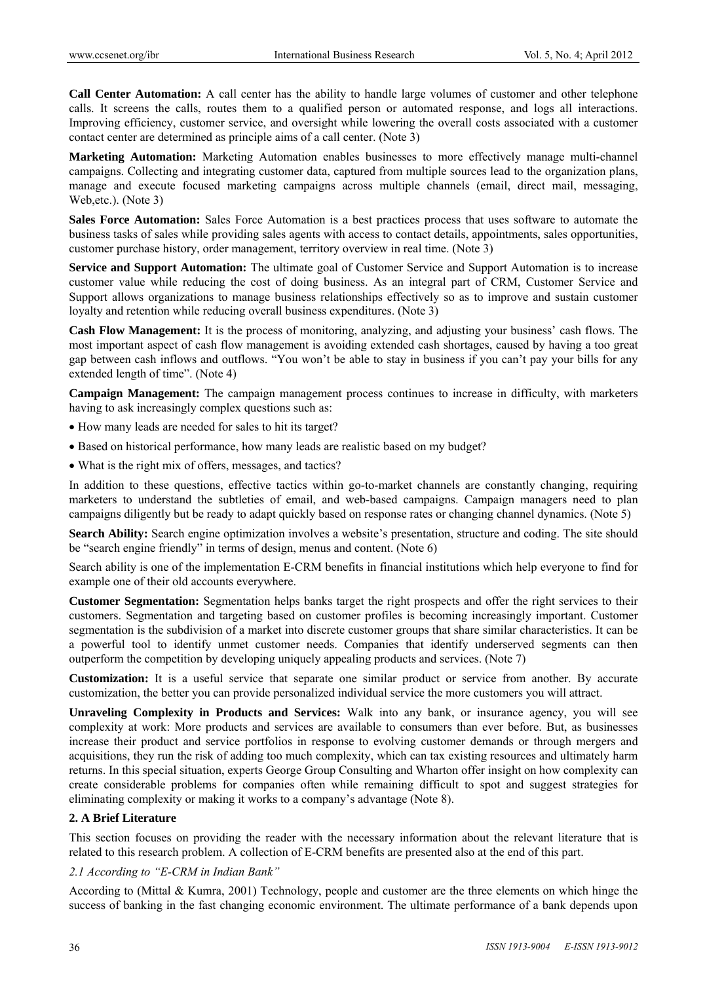**Call Center Automation:** A call center has the ability to handle large volumes of customer and other telephone calls. It screens the calls, routes them to a qualified person or automated response, and logs all interactions. Improving efficiency, customer service, and oversight while lowering the overall costs associated with a customer contact center are determined as principle aims of a call center. (Note 3)

**Marketing Automation:** Marketing Automation enables businesses to more effectively manage multi-channel campaigns. Collecting and integrating customer data, captured from multiple sources lead to the organization plans, manage and execute focused marketing campaigns across multiple channels (email, direct mail, messaging, Web,etc.). (Note 3)

**Sales Force Automation:** Sales Force Automation is a best practices process that uses software to automate the business tasks of sales while providing sales agents with access to contact details, appointments, sales opportunities, customer purchase history, order management, territory overview in real time. (Note 3)

**Service and Support Automation:** The ultimate goal of Customer Service and Support Automation is to increase customer value while reducing the cost of doing business. As an integral part of CRM, Customer Service and Support allows organizations to manage business relationships effectively so as to improve and sustain customer loyalty and retention while reducing overall business expenditures. (Note 3)

**Cash Flow Management:** It is the process of monitoring, analyzing, and adjusting your business' cash flows. The most important aspect of cash flow management is avoiding extended cash shortages, caused by having a too great gap between cash inflows and outflows. "You won't be able to stay in business if you can't pay your bills for any extended length of time". (Note 4)

**Campaign Management:** The campaign management process continues to increase in difficulty, with marketers having to ask increasingly complex questions such as:

- How many leads are needed for sales to hit its target?
- Based on historical performance, how many leads are realistic based on my budget?
- What is the right mix of offers, messages, and tactics?

In addition to these questions, effective tactics within go-to-market channels are constantly changing, requiring marketers to understand the subtleties of email, and web-based campaigns. Campaign managers need to plan campaigns diligently but be ready to adapt quickly based on response rates or changing channel dynamics. (Note 5)

**Search Ability:** Search engine optimization involves a website's presentation, structure and coding. The site should be "search engine friendly" in terms of design, menus and content. (Note 6)

Search ability is one of the implementation E-CRM benefits in financial institutions which help everyone to find for example one of their old accounts everywhere.

**Customer Segmentation:** Segmentation helps banks target the right prospects and offer the right services to their customers. Segmentation and targeting based on customer profiles is becoming increasingly important. Customer segmentation is the subdivision of a market into discrete customer groups that share similar characteristics. It can be a powerful tool to identify unmet customer needs. Companies that identify underserved segments can then outperform the competition by developing uniquely appealing products and services. (Note 7)

**Customization:** It is a useful service that separate one similar product or service from another. By accurate customization, the better you can provide personalized individual service the more customers you will attract.

**Unraveling Complexity in Products and Services:** Walk into any bank, or insurance agency, you will see complexity at work: More products and services are available to consumers than ever before. But, as businesses increase their product and service portfolios in response to evolving customer demands or through mergers and acquisitions, they run the risk of adding too much complexity, which can tax existing resources and ultimately harm returns. In this special situation, experts George Group Consulting and Wharton offer insight on how complexity can create considerable problems for companies often while remaining difficult to spot and suggest strategies for eliminating complexity or making it works to a company's advantage (Note 8).

# **2. A Brief Literature**

This section focuses on providing the reader with the necessary information about the relevant literature that is related to this research problem. A collection of E-CRM benefits are presented also at the end of this part.

# *2.1 According to "E-CRM in Indian Bank"*

According to (Mittal & Kumra, 2001) Technology, people and customer are the three elements on which hinge the success of banking in the fast changing economic environment. The ultimate performance of a bank depends upon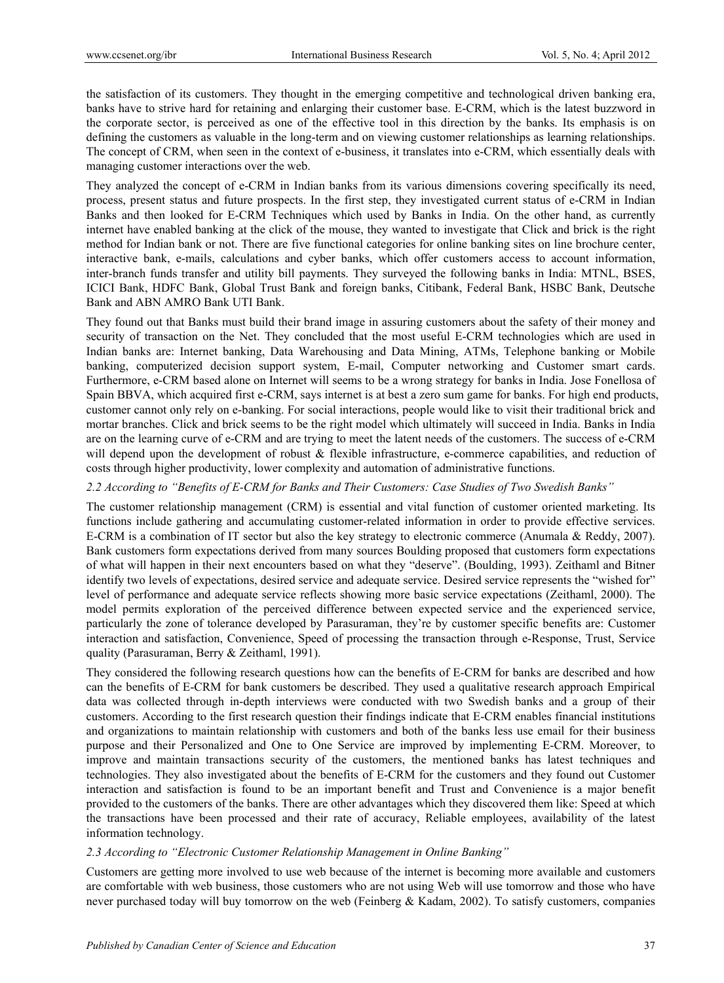the satisfaction of its customers. They thought in the emerging competitive and technological driven banking era, banks have to strive hard for retaining and enlarging their customer base. E-CRM, which is the latest buzzword in the corporate sector, is perceived as one of the effective tool in this direction by the banks. Its emphasis is on defining the customers as valuable in the long-term and on viewing customer relationships as learning relationships. The concept of CRM, when seen in the context of e-business, it translates into e-CRM, which essentially deals with managing customer interactions over the web.

They analyzed the concept of e-CRM in Indian banks from its various dimensions covering specifically its need, process, present status and future prospects. In the first step, they investigated current status of e-CRM in Indian Banks and then looked for E-CRM Techniques which used by Banks in India. On the other hand, as currently internet have enabled banking at the click of the mouse, they wanted to investigate that Click and brick is the right method for Indian bank or not. There are five functional categories for online banking sites on line brochure center, interactive bank, e-mails, calculations and cyber banks, which offer customers access to account information, inter-branch funds transfer and utility bill payments. They surveyed the following banks in India: MTNL, BSES, ICICI Bank, HDFC Bank, Global Trust Bank and foreign banks, Citibank, Federal Bank, HSBC Bank, Deutsche Bank and ABN AMRO Bank UTI Bank.

They found out that Banks must build their brand image in assuring customers about the safety of their money and security of transaction on the Net. They concluded that the most useful E-CRM technologies which are used in Indian banks are: Internet banking, Data Warehousing and Data Mining, ATMs, Telephone banking or Mobile banking, computerized decision support system, E-mail, Computer networking and Customer smart cards. Furthermore, e-CRM based alone on Internet will seems to be a wrong strategy for banks in India. Jose Fonellosa of Spain BBVA, which acquired first e-CRM, says internet is at best a zero sum game for banks. For high end products, customer cannot only rely on e-banking. For social interactions, people would like to visit their traditional brick and mortar branches. Click and brick seems to be the right model which ultimately will succeed in India. Banks in India are on the learning curve of e-CRM and are trying to meet the latent needs of the customers. The success of e-CRM will depend upon the development of robust & flexible infrastructure, e-commerce capabilities, and reduction of costs through higher productivity, lower complexity and automation of administrative functions.

# *2.2 According to "Benefits of E-CRM for Banks and Their Customers: Case Studies of Two Swedish Banks"*

The customer relationship management (CRM) is essential and vital function of customer oriented marketing. Its functions include gathering and accumulating customer-related information in order to provide effective services. E-CRM is a combination of IT sector but also the key strategy to electronic commerce (Anumala & Reddy, 2007). Bank customers form expectations derived from many sources Boulding proposed that customers form expectations of what will happen in their next encounters based on what they "deserve". (Boulding, 1993). Zeithaml and Bitner identify two levels of expectations, desired service and adequate service. Desired service represents the "wished for" level of performance and adequate service reflects showing more basic service expectations (Zeithaml, 2000). The model permits exploration of the perceived difference between expected service and the experienced service, particularly the zone of tolerance developed by Parasuraman, they're by customer specific benefits are: Customer interaction and satisfaction, Convenience, Speed of processing the transaction through e-Response, Trust, Service quality (Parasuraman, Berry & Zeithaml, 1991).

They considered the following research questions how can the benefits of E-CRM for banks are described and how can the benefits of E-CRM for bank customers be described. They used a qualitative research approach Empirical data was collected through in-depth interviews were conducted with two Swedish banks and a group of their customers. According to the first research question their findings indicate that E-CRM enables financial institutions and organizations to maintain relationship with customers and both of the banks less use email for their business purpose and their Personalized and One to One Service are improved by implementing E-CRM. Moreover, to improve and maintain transactions security of the customers, the mentioned banks has latest techniques and technologies. They also investigated about the benefits of E-CRM for the customers and they found out Customer interaction and satisfaction is found to be an important benefit and Trust and Convenience is a major benefit provided to the customers of the banks. There are other advantages which they discovered them like: Speed at which the transactions have been processed and their rate of accuracy, Reliable employees, availability of the latest information technology.

## *2.3 According to "Electronic Customer Relationship Management in Online Banking"*

Customers are getting more involved to use web because of the internet is becoming more available and customers are comfortable with web business, those customers who are not using Web will use tomorrow and those who have never purchased today will buy tomorrow on the web (Feinberg & Kadam, 2002). To satisfy customers, companies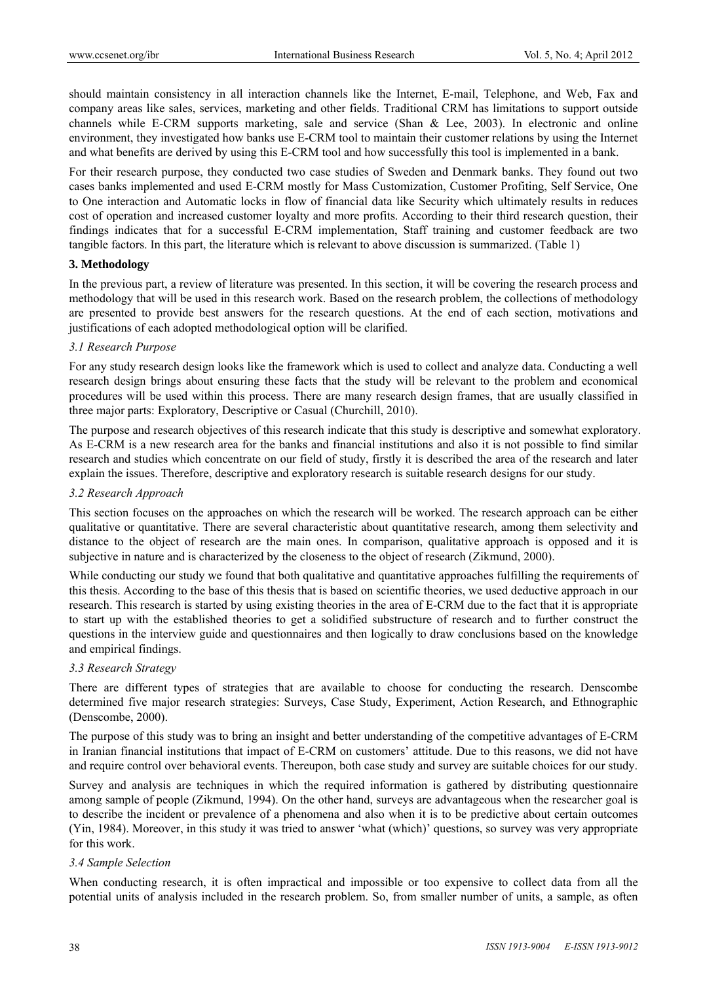should maintain consistency in all interaction channels like the Internet, E-mail, Telephone, and Web, Fax and company areas like sales, services, marketing and other fields. Traditional CRM has limitations to support outside channels while E-CRM supports marketing, sale and service (Shan & Lee, 2003). In electronic and online environment, they investigated how banks use E-CRM tool to maintain their customer relations by using the Internet and what benefits are derived by using this E-CRM tool and how successfully this tool is implemented in a bank.

For their research purpose, they conducted two case studies of Sweden and Denmark banks. They found out two cases banks implemented and used E-CRM mostly for Mass Customization, Customer Profiting, Self Service, One to One interaction and Automatic locks in flow of financial data like Security which ultimately results in reduces cost of operation and increased customer loyalty and more profits. According to their third research question, their findings indicates that for a successful E-CRM implementation, Staff training and customer feedback are two tangible factors. In this part, the literature which is relevant to above discussion is summarized. (Table 1)

# **3. Methodology**

In the previous part, a review of literature was presented. In this section, it will be covering the research process and methodology that will be used in this research work. Based on the research problem, the collections of methodology are presented to provide best answers for the research questions. At the end of each section, motivations and justifications of each adopted methodological option will be clarified.

#### *3.1 Research Purpose*

For any study research design looks like the framework which is used to collect and analyze data. Conducting a well research design brings about ensuring these facts that the study will be relevant to the problem and economical procedures will be used within this process. There are many research design frames, that are usually classified in three major parts: Exploratory, Descriptive or Casual (Churchill, 2010).

The purpose and research objectives of this research indicate that this study is descriptive and somewhat exploratory. As E-CRM is a new research area for the banks and financial institutions and also it is not possible to find similar research and studies which concentrate on our field of study, firstly it is described the area of the research and later explain the issues. Therefore, descriptive and exploratory research is suitable research designs for our study.

#### *3.2 Research Approach*

This section focuses on the approaches on which the research will be worked. The research approach can be either qualitative or quantitative. There are several characteristic about quantitative research, among them selectivity and distance to the object of research are the main ones. In comparison, qualitative approach is opposed and it is subjective in nature and is characterized by the closeness to the object of research (Zikmund, 2000).

While conducting our study we found that both qualitative and quantitative approaches fulfilling the requirements of this thesis. According to the base of this thesis that is based on scientific theories, we used deductive approach in our research. This research is started by using existing theories in the area of E-CRM due to the fact that it is appropriate to start up with the established theories to get a solidified substructure of research and to further construct the questions in the interview guide and questionnaires and then logically to draw conclusions based on the knowledge and empirical findings.

#### *3.3 Research Strategy*

There are different types of strategies that are available to choose for conducting the research. Denscombe determined five major research strategies: Surveys, Case Study, Experiment, Action Research, and Ethnographic (Denscombe, 2000).

The purpose of this study was to bring an insight and better understanding of the competitive advantages of E-CRM in Iranian financial institutions that impact of E-CRM on customers' attitude. Due to this reasons, we did not have and require control over behavioral events. Thereupon, both case study and survey are suitable choices for our study.

Survey and analysis are techniques in which the required information is gathered by distributing questionnaire among sample of people (Zikmund, 1994). On the other hand, surveys are advantageous when the researcher goal is to describe the incident or prevalence of a phenomena and also when it is to be predictive about certain outcomes (Yin, 1984). Moreover, in this study it was tried to answer 'what (which)' questions, so survey was very appropriate for this work.

#### *3.4 Sample Selection*

When conducting research, it is often impractical and impossible or too expensive to collect data from all the potential units of analysis included in the research problem. So, from smaller number of units, a sample, as often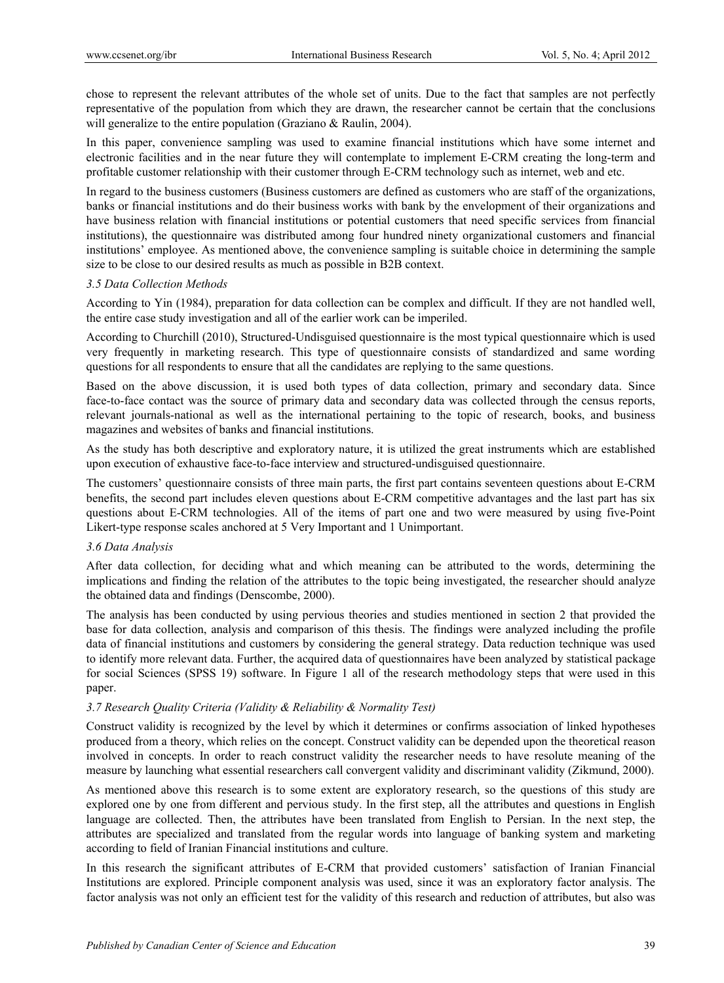chose to represent the relevant attributes of the whole set of units. Due to the fact that samples are not perfectly representative of the population from which they are drawn, the researcher cannot be certain that the conclusions will generalize to the entire population (Graziano & Raulin, 2004).

In this paper, convenience sampling was used to examine financial institutions which have some internet and electronic facilities and in the near future they will contemplate to implement E-CRM creating the long-term and profitable customer relationship with their customer through E-CRM technology such as internet, web and etc.

In regard to the business customers (Business customers are defined as customers who are staff of the organizations, banks or financial institutions and do their business works with bank by the envelopment of their organizations and have business relation with financial institutions or potential customers that need specific services from financial institutions), the questionnaire was distributed among four hundred ninety organizational customers and financial institutions' employee. As mentioned above, the convenience sampling is suitable choice in determining the sample size to be close to our desired results as much as possible in B2B context.

## *3.5 Data Collection Methods*

According to Yin (1984), preparation for data collection can be complex and difficult. If they are not handled well, the entire case study investigation and all of the earlier work can be imperiled.

According to Churchill (2010), Structured-Undisguised questionnaire is the most typical questionnaire which is used very frequently in marketing research. This type of questionnaire consists of standardized and same wording questions for all respondents to ensure that all the candidates are replying to the same questions.

Based on the above discussion, it is used both types of data collection, primary and secondary data. Since face-to-face contact was the source of primary data and secondary data was collected through the census reports, relevant journals-national as well as the international pertaining to the topic of research, books, and business magazines and websites of banks and financial institutions.

As the study has both descriptive and exploratory nature, it is utilized the great instruments which are established upon execution of exhaustive face-to-face interview and structured-undisguised questionnaire.

The customers' questionnaire consists of three main parts, the first part contains seventeen questions about E-CRM benefits, the second part includes eleven questions about E-CRM competitive advantages and the last part has six questions about E-CRM technologies. All of the items of part one and two were measured by using five-Point Likert-type response scales anchored at 5 Very Important and 1 Unimportant.

## *3.6 Data Analysis*

After data collection, for deciding what and which meaning can be attributed to the words, determining the implications and finding the relation of the attributes to the topic being investigated, the researcher should analyze the obtained data and findings (Denscombe, 2000).

The analysis has been conducted by using pervious theories and studies mentioned in section 2 that provided the base for data collection, analysis and comparison of this thesis. The findings were analyzed including the profile data of financial institutions and customers by considering the general strategy. Data reduction technique was used to identify more relevant data. Further, the acquired data of questionnaires have been analyzed by statistical package for social Sciences (SPSS 19) software. In Figure 1 all of the research methodology steps that were used in this paper.

## *3.7 Research Quality Criteria (Validity & Reliability & Normality Test)*

Construct validity is recognized by the level by which it determines or confirms association of linked hypotheses produced from a theory, which relies on the concept. Construct validity can be depended upon the theoretical reason involved in concepts. In order to reach construct validity the researcher needs to have resolute meaning of the measure by launching what essential researchers call convergent validity and discriminant validity (Zikmund, 2000).

As mentioned above this research is to some extent are exploratory research, so the questions of this study are explored one by one from different and pervious study. In the first step, all the attributes and questions in English language are collected. Then, the attributes have been translated from English to Persian. In the next step, the attributes are specialized and translated from the regular words into language of banking system and marketing according to field of Iranian Financial institutions and culture.

In this research the significant attributes of E-CRM that provided customers' satisfaction of Iranian Financial Institutions are explored. Principle component analysis was used, since it was an exploratory factor analysis. The factor analysis was not only an efficient test for the validity of this research and reduction of attributes, but also was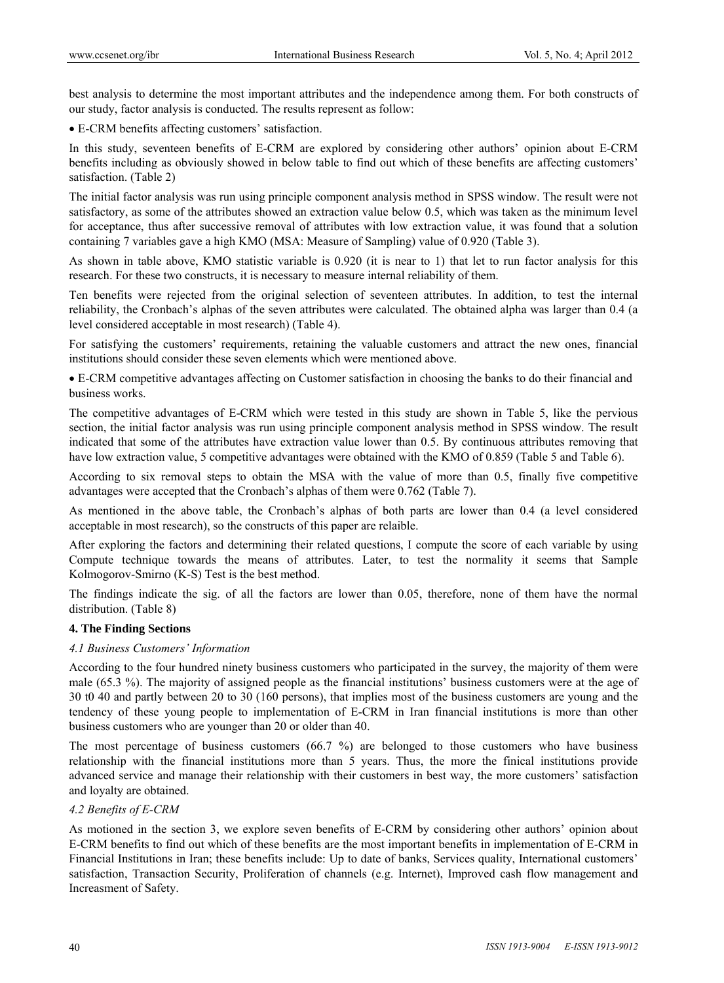best analysis to determine the most important attributes and the independence among them. For both constructs of our study, factor analysis is conducted. The results represent as follow:

E-CRM benefits affecting customers' satisfaction.

In this study, seventeen benefits of E-CRM are explored by considering other authors' opinion about E-CRM benefits including as obviously showed in below table to find out which of these benefits are affecting customers' satisfaction. (Table 2)

The initial factor analysis was run using principle component analysis method in SPSS window. The result were not satisfactory, as some of the attributes showed an extraction value below 0.5, which was taken as the minimum level for acceptance, thus after successive removal of attributes with low extraction value, it was found that a solution containing 7 variables gave a high KMO (MSA: Measure of Sampling) value of 0.920 (Table 3).

As shown in table above, KMO statistic variable is 0.920 (it is near to 1) that let to run factor analysis for this research. For these two constructs, it is necessary to measure internal reliability of them.

Ten benefits were rejected from the original selection of seventeen attributes. In addition, to test the internal reliability, the Cronbach's alphas of the seven attributes were calculated. The obtained alpha was larger than 0.4 (a level considered acceptable in most research) (Table 4).

For satisfying the customers' requirements, retaining the valuable customers and attract the new ones, financial institutions should consider these seven elements which were mentioned above.

 E-CRM competitive advantages affecting on Customer satisfaction in choosing the banks to do their financial and business works.

The competitive advantages of E-CRM which were tested in this study are shown in Table 5, like the pervious section, the initial factor analysis was run using principle component analysis method in SPSS window. The result indicated that some of the attributes have extraction value lower than 0.5. By continuous attributes removing that have low extraction value, 5 competitive advantages were obtained with the KMO of 0.859 (Table 5 and Table 6).

According to six removal steps to obtain the MSA with the value of more than 0.5, finally five competitive advantages were accepted that the Cronbach's alphas of them were 0.762 (Table 7).

As mentioned in the above table, the Cronbach's alphas of both parts are lower than 0.4 (a level considered acceptable in most research), so the constructs of this paper are relaible.

After exploring the factors and determining their related questions, I compute the score of each variable by using Compute technique towards the means of attributes. Later, to test the normality it seems that Sample Kolmogorov-Smirno (K-S) Test is the best method.

The findings indicate the sig. of all the factors are lower than 0.05, therefore, none of them have the normal distribution. (Table 8)

## **4. The Finding Sections**

#### *4.1 Business Customers' Information*

According to the four hundred ninety business customers who participated in the survey, the majority of them were male (65.3 %). The majority of assigned people as the financial institutions' business customers were at the age of 30 t0 40 and partly between 20 to 30 (160 persons), that implies most of the business customers are young and the tendency of these young people to implementation of E-CRM in Iran financial institutions is more than other business customers who are younger than 20 or older than 40.

The most percentage of business customers (66.7 %) are belonged to those customers who have business relationship with the financial institutions more than 5 years. Thus, the more the finical institutions provide advanced service and manage their relationship with their customers in best way, the more customers' satisfaction and loyalty are obtained.

#### *4.2 Benefits of E-CRM*

As motioned in the section 3, we explore seven benefits of E-CRM by considering other authors' opinion about E-CRM benefits to find out which of these benefits are the most important benefits in implementation of E-CRM in Financial Institutions in Iran; these benefits include: Up to date of banks, Services quality, International customers' satisfaction, Transaction Security, Proliferation of channels (e.g. Internet), Improved cash flow management and Increasment of Safety.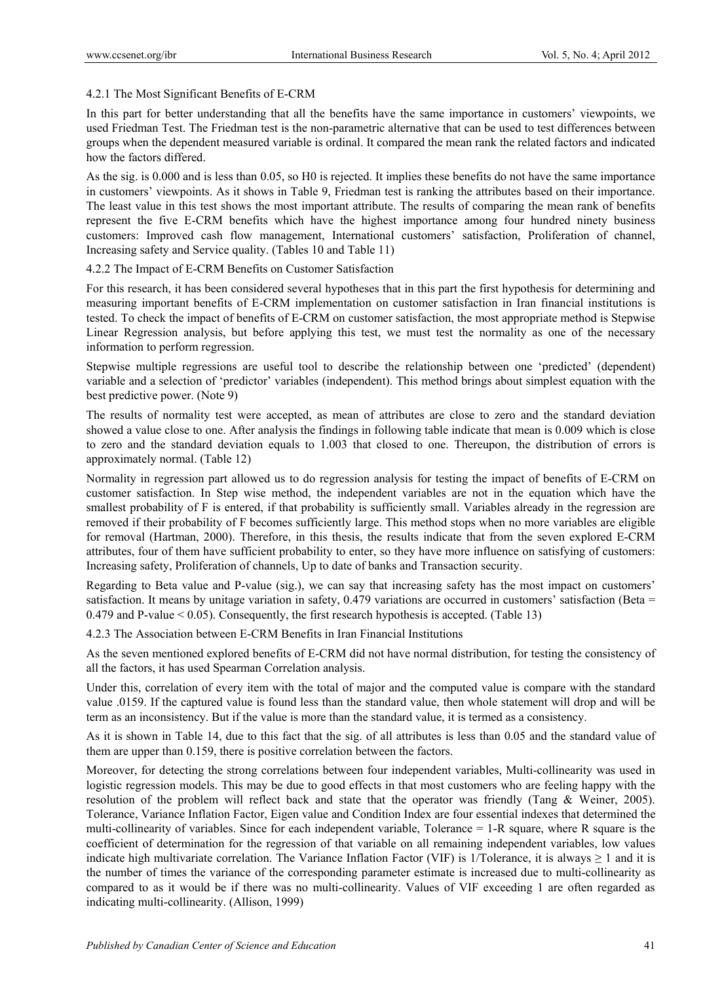# 4.2.1 The Most Significant Benefits of E-CRM

In this part for better understanding that all the benefits have the same importance in customers' viewpoints, we used Friedman Test. The Friedman test is the non-parametric alternative that can be used to test differences between groups when the dependent measured variable is ordinal. It compared the mean rank the related factors and indicated how the factors differed.

As the sig. is 0.000 and is less than 0.05, so H0 is rejected. It implies these benefits do not have the same importance in customers' viewpoints. As it shows in Table 9, Friedman test is ranking the attributes based on their importance. The least value in this test shows the most important attribute. The results of comparing the mean rank of benefits represent the five E-CRM benefits which have the highest importance among four hundred ninety business customers: Improved cash flow management, International customers' satisfaction, Proliferation of channel, Increasing safety and Service quality. (Tables 10 and Table 11)

# 4.2.2 The Impact of E-CRM Benefits on Customer Satisfaction

For this research, it has been considered several hypotheses that in this part the first hypothesis for determining and measuring important benefits of E-CRM implementation on customer satisfaction in Iran financial institutions is tested. To check the impact of benefits of E-CRM on customer satisfaction, the most appropriate method is Stepwise Linear Regression analysis, but before applying this test, we must test the normality as one of the necessary information to perform regression.

Stepwise multiple regressions are useful tool to describe the relationship between one 'predicted' (dependent) variable and a selection of 'predictor' variables (independent). This method brings about simplest equation with the best predictive power. (Note 9)

The results of normality test were accepted, as mean of attributes are close to zero and the standard deviation showed a value close to one. After analysis the findings in following table indicate that mean is 0.009 which is close to zero and the standard deviation equals to 1.003 that closed to one. Thereupon, the distribution of errors is approximately normal. (Table 12)

Normality in regression part allowed us to do regression analysis for testing the impact of benefits of E-CRM on customer satisfaction. In Step wise method, the independent variables are not in the equation which have the smallest probability of F is entered, if that probability is sufficiently small. Variables already in the regression are removed if their probability of F becomes sufficiently large. This method stops when no more variables are eligible for removal (Hartman, 2000). Therefore, in this thesis, the results indicate that from the seven explored E-CRM attributes, four of them have sufficient probability to enter, so they have more influence on satisfying of customers: Increasing safety, Proliferation of channels, Up to date of banks and Transaction security.

Regarding to Beta value and P-value (sig.), we can say that increasing safety has the most impact on customers' satisfaction. It means by unitage variation in safety, 0.479 variations are occurred in customers' satisfaction (Beta = 0.479 and P-value  $< 0.05$ ). Consequently, the first research hypothesis is accepted. (Table 13)

4.2.3 The Association between E-CRM Benefits in Iran Financial Institutions

As the seven mentioned explored benefits of E-CRM did not have normal distribution, for testing the consistency of all the factors, it has used Spearman Correlation analysis.

Under this, correlation of every item with the total of major and the computed value is compare with the standard value .0159. If the captured value is found less than the standard value, then whole statement will drop and will be term as an inconsistency. But if the value is more than the standard value, it is termed as a consistency.

As it is shown in Table 14, due to this fact that the sig. of all attributes is less than 0.05 and the standard value of them are upper than 0.159, there is positive correlation between the factors.

Moreover, for detecting the strong correlations between four independent variables, Multi-collinearity was used in logistic regression models. This may be due to good effects in that most customers who are feeling happy with the resolution of the problem will reflect back and state that the operator was friendly (Tang & Weiner, 2005). Tolerance, Variance Inflation Factor, Eigen value and Condition Index are four essential indexes that determined the multi-collinearity of variables. Since for each independent variable, Tolerance = 1-R square, where R square is the coefficient of determination for the regression of that variable on all remaining independent variables, low values indicate high multivariate correlation. The Variance Inflation Factor (VIF) is 1/Tolerance, it is always  $\geq 1$  and it is the number of times the variance of the corresponding parameter estimate is increased due to multi-collinearity as compared to as it would be if there was no multi-collinearity. Values of VIF exceeding 1 are often regarded as indicating multi-collinearity. (Allison, 1999)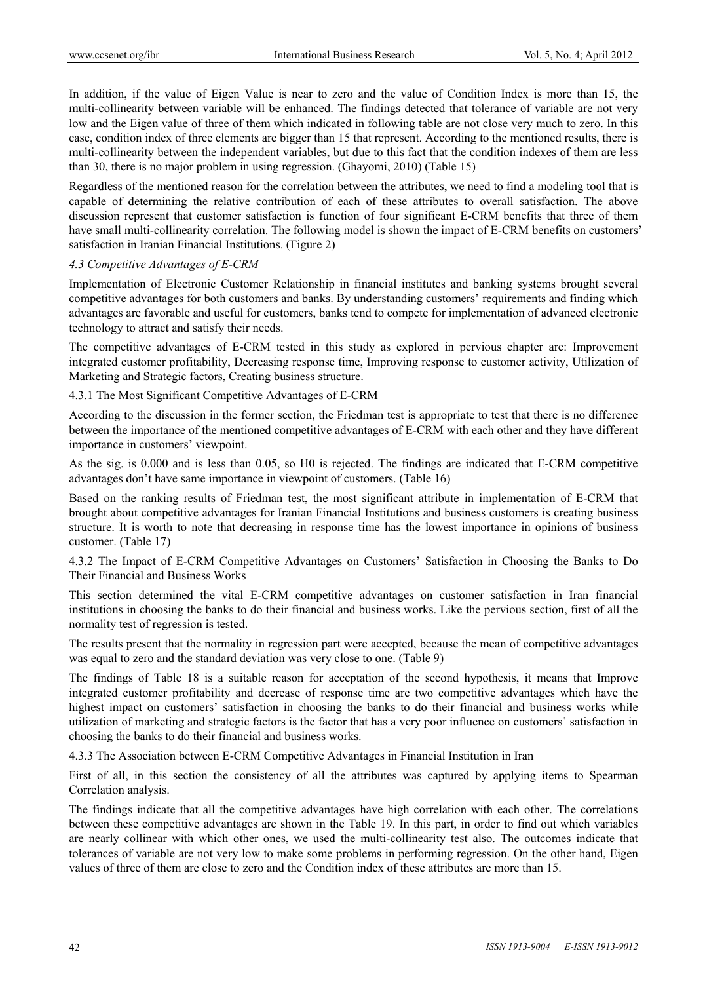In addition, if the value of Eigen Value is near to zero and the value of Condition Index is more than 15, the multi-collinearity between variable will be enhanced. The findings detected that tolerance of variable are not very low and the Eigen value of three of them which indicated in following table are not close very much to zero. In this case, condition index of three elements are bigger than 15 that represent. According to the mentioned results, there is multi-collinearity between the independent variables, but due to this fact that the condition indexes of them are less than 30, there is no major problem in using regression. (Ghayomi, 2010) (Table 15)

Regardless of the mentioned reason for the correlation between the attributes, we need to find a modeling tool that is capable of determining the relative contribution of each of these attributes to overall satisfaction. The above discussion represent that customer satisfaction is function of four significant E-CRM benefits that three of them have small multi-collinearity correlation. The following model is shown the impact of E-CRM benefits on customers' satisfaction in Iranian Financial Institutions. (Figure 2)

#### *4.3 Competitive Advantages of E-CRM*

Implementation of Electronic Customer Relationship in financial institutes and banking systems brought several competitive advantages for both customers and banks. By understanding customers' requirements and finding which advantages are favorable and useful for customers, banks tend to compete for implementation of advanced electronic technology to attract and satisfy their needs.

The competitive advantages of E-CRM tested in this study as explored in pervious chapter are: Improvement integrated customer profitability, Decreasing response time, Improving response to customer activity, Utilization of Marketing and Strategic factors, Creating business structure.

#### 4.3.1 The Most Significant Competitive Advantages of E-CRM

According to the discussion in the former section, the Friedman test is appropriate to test that there is no difference between the importance of the mentioned competitive advantages of E-CRM with each other and they have different importance in customers' viewpoint.

As the sig. is 0.000 and is less than 0.05, so H0 is rejected. The findings are indicated that E-CRM competitive advantages don't have same importance in viewpoint of customers. (Table 16)

Based on the ranking results of Friedman test, the most significant attribute in implementation of E-CRM that brought about competitive advantages for Iranian Financial Institutions and business customers is creating business structure. It is worth to note that decreasing in response time has the lowest importance in opinions of business customer. (Table 17)

4.3.2 The Impact of E-CRM Competitive Advantages on Customers' Satisfaction in Choosing the Banks to Do Their Financial and Business Works

This section determined the vital E-CRM competitive advantages on customer satisfaction in Iran financial institutions in choosing the banks to do their financial and business works. Like the pervious section, first of all the normality test of regression is tested.

The results present that the normality in regression part were accepted, because the mean of competitive advantages was equal to zero and the standard deviation was very close to one. (Table 9)

The findings of Table 18 is a suitable reason for acceptation of the second hypothesis, it means that Improve integrated customer profitability and decrease of response time are two competitive advantages which have the highest impact on customers' satisfaction in choosing the banks to do their financial and business works while utilization of marketing and strategic factors is the factor that has a very poor influence on customers' satisfaction in choosing the banks to do their financial and business works.

4.3.3 The Association between E-CRM Competitive Advantages in Financial Institution in Iran

First of all, in this section the consistency of all the attributes was captured by applying items to Spearman Correlation analysis.

The findings indicate that all the competitive advantages have high correlation with each other. The correlations between these competitive advantages are shown in the Table 19. In this part, in order to find out which variables are nearly collinear with which other ones, we used the multi-collinearity test also. The outcomes indicate that tolerances of variable are not very low to make some problems in performing regression. On the other hand, Eigen values of three of them are close to zero and the Condition index of these attributes are more than 15.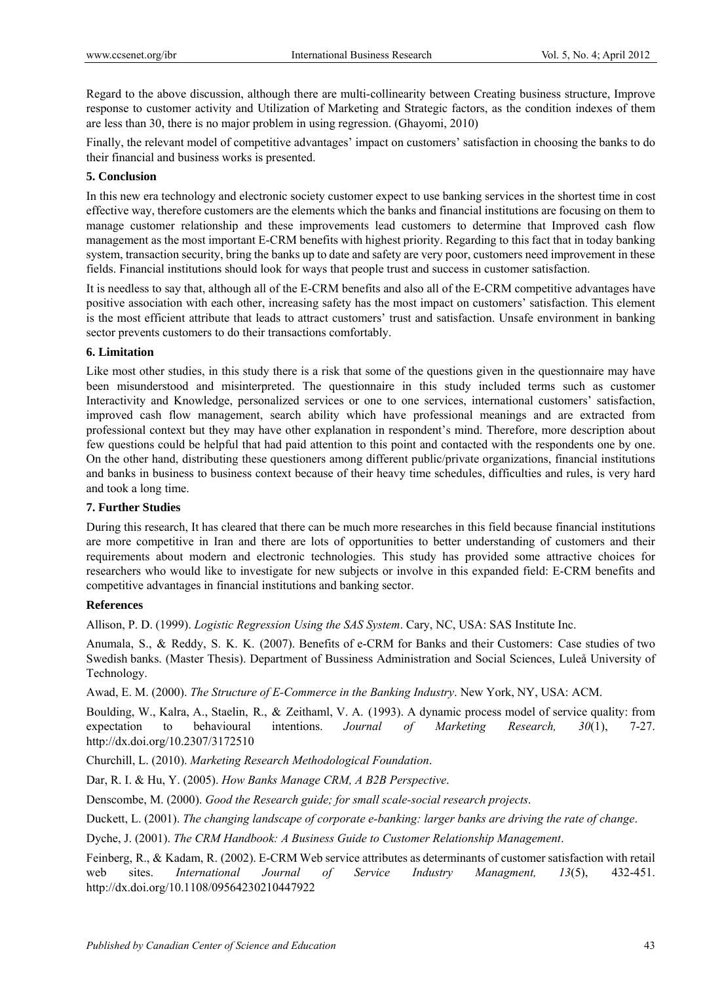Regard to the above discussion, although there are multi-collinearity between Creating business structure, Improve response to customer activity and Utilization of Marketing and Strategic factors, as the condition indexes of them are less than 30, there is no major problem in using regression. (Ghayomi, 2010)

Finally, the relevant model of competitive advantages' impact on customers' satisfaction in choosing the banks to do their financial and business works is presented.

## **5. Conclusion**

In this new era technology and electronic society customer expect to use banking services in the shortest time in cost effective way, therefore customers are the elements which the banks and financial institutions are focusing on them to manage customer relationship and these improvements lead customers to determine that Improved cash flow management as the most important E-CRM benefits with highest priority. Regarding to this fact that in today banking system, transaction security, bring the banks up to date and safety are very poor, customers need improvement in these fields. Financial institutions should look for ways that people trust and success in customer satisfaction.

It is needless to say that, although all of the E-CRM benefits and also all of the E-CRM competitive advantages have positive association with each other, increasing safety has the most impact on customers' satisfaction. This element is the most efficient attribute that leads to attract customers' trust and satisfaction. Unsafe environment in banking sector prevents customers to do their transactions comfortably.

# **6. Limitation**

Like most other studies, in this study there is a risk that some of the questions given in the questionnaire may have been misunderstood and misinterpreted. The questionnaire in this study included terms such as customer Interactivity and Knowledge, personalized services or one to one services, international customers' satisfaction, improved cash flow management, search ability which have professional meanings and are extracted from professional context but they may have other explanation in respondent's mind. Therefore, more description about few questions could be helpful that had paid attention to this point and contacted with the respondents one by one. On the other hand, distributing these questioners among different public/private organizations, financial institutions and banks in business to business context because of their heavy time schedules, difficulties and rules, is very hard and took a long time.

# **7. Further Studies**

During this research, It has cleared that there can be much more researches in this field because financial institutions are more competitive in Iran and there are lots of opportunities to better understanding of customers and their requirements about modern and electronic technologies. This study has provided some attractive choices for researchers who would like to investigate for new subjects or involve in this expanded field: E-CRM benefits and competitive advantages in financial institutions and banking sector.

## **References**

Allison, P. D. (1999). *Logistic Regression Using the SAS System*. Cary, NC, USA: SAS Institute Inc.

Anumala, S., & Reddy, S. K. K. (2007). Benefits of e-CRM for Banks and their Customers: Case studies of two Swedish banks. (Master Thesis). Department of Bussiness Administration and Social Sciences, Luleå University of Technology.

Awad, E. M. (2000). *The Structure of E-Commerce in the Banking Industry*. New York, NY, USA: ACM.

Boulding, W., Kalra, A., Staelin, R., & Zeithaml, V. A. (1993). A dynamic process model of service quality: from expectation to behavioural intentions. *Journal of Marketing Research, 30*(1), 7-27. http://dx.doi.org/10.2307/3172510

Churchill, L. (2010). *Marketing Research Methodological Foundation*.

Dar, R. I. & Hu, Y. (2005). *How Banks Manage CRM, A B2B Perspective*.

Denscombe, M. (2000). *Good the Research guide; for small scale-social research projects*.

Duckett, L. (2001). *The changing landscape of corporate e-banking: larger banks are driving the rate of change*.

Dyche, J. (2001). *The CRM Handbook: A Business Guide to Customer Relationship Management*.

Feinberg, R., & Kadam, R. (2002). E-CRM Web service attributes as determinants of customer satisfaction with retail web sites. *International Journal of Service Industry Managment, 13*(5), 432-451. http://dx.doi.org/10.1108/09564230210447922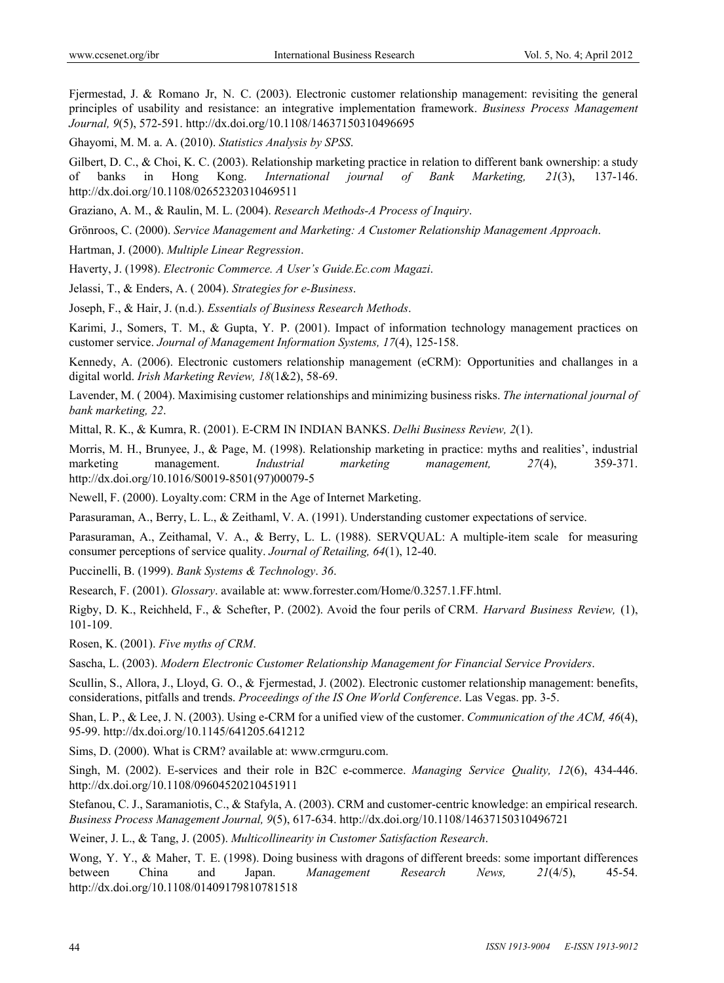Fjermestad, J. & Romano Jr, N. C. (2003). Electronic customer relationship management: revisiting the general principles of usability and resistance: an integrative implementation framework. *Business Process Management Journal, 9*(5), 572-591. http://dx.doi.org/10.1108/14637150310496695

Ghayomi, M. M. a. A. (2010). *Statistics Analysis by SPSS*.

Gilbert, D. C., & Choi, K. C. (2003). Relationship marketing practice in relation to different bank ownership: a study of banks in Hong Kong. *International journal of Bank Marketing, 21*(3), 137-146. http://dx.doi.org/10.1108/02652320310469511

Graziano, A. M., & Raulin, M. L. (2004). *Research Methods-A Process of Inquiry*.

Grönroos, C. (2000). *Service Management and Marketing: A Customer Relationship Management Approach*.

Hartman, J. (2000). *Multiple Linear Regression*.

Haverty, J. (1998). *Electronic Commerce. A User's Guide.Ec.com Magazi*.

Jelassi, T., & Enders, A. ( 2004). *Strategies for e-Business*.

Joseph, F., & Hair, J. (n.d.). *Essentials of Business Research Methods*.

Karimi, J., Somers, T. M., & Gupta, Y. P. (2001). Impact of information technology management practices on customer service. *Journal of Management Information Systems, 17*(4), 125-158.

Kennedy, A. (2006). Electronic customers relationship management (eCRM): Opportunities and challanges in a digital world. *Irish Marketing Review, 18*(1&2), 58-69.

Lavender, M. ( 2004). Maximising customer relationships and minimizing business risks. *The international journal of bank marketing, 22*.

Mittal, R. K., & Kumra, R. (2001). E-CRM IN INDIAN BANKS. *Delhi Business Review, 2*(1).

Morris, M. H., Brunyee, J., & Page, M. (1998). Relationship marketing in practice: myths and realities', industrial marketing management. *Industrial marketing management, 27*(4), 359-371. http://dx.doi.org/10.1016/S0019-8501(97)00079-5

Newell, F. (2000). Loyalty.com: CRM in the Age of Internet Marketing.

Parasuraman, A., Berry, L. L., & Zeithaml, V. A. (1991). Understanding customer expectations of service.

Parasuraman, A., Zeithamal, V. A., & Berry, L. L. (1988). SERVQUAL: A multiple-item scale for measuring consumer perceptions of service quality. *Journal of Retailing, 64*(1), 12-40.

Puccinelli, B. (1999). *Bank Systems & Technology*. *36*.

Research, F. (2001). *Glossary*. available at: www.forrester.com/Home/0.3257.1.FF.html.

Rigby, D. K., Reichheld, F., & Schefter, P. (2002). Avoid the four perils of CRM. *Harvard Business Review,* (1), 101-109.

Rosen, K. (2001). *Five myths of CRM*.

Sascha, L. (2003). *Modern Electronic Customer Relationship Management for Financial Service Providers*.

Scullin, S., Allora, J., Lloyd, G. O., & Fjermestad, J. (2002). Electronic customer relationship management: benefits, considerations, pitfalls and trends. *Proceedings of the IS One World Conference*. Las Vegas. pp. 3-5.

Shan, L. P., & Lee, J. N. (2003). Using e-CRM for a unified view of the customer. *Communication of the ACM, 46*(4), 95-99. http://dx.doi.org/10.1145/641205.641212

Sims, D. (2000). What is CRM? available at: www.crmguru.com.

Singh, M. (2002). E-services and their role in B2C e-commerce. *Managing Service Quality, 12*(6), 434-446. http://dx.doi.org/10.1108/09604520210451911

Stefanou, C. J., Saramaniotis, C., & Stafyla, A. (2003). CRM and customer-centric knowledge: an empirical research. *Business Process Management Journal, 9*(5), 617-634. http://dx.doi.org/10.1108/14637150310496721

Weiner, J. L., & Tang, J. (2005). *Multicollinearity in Customer Satisfaction Research*.

Wong, Y. Y., & Maher, T. E. (1998). Doing business with dragons of different breeds: some important differences between China and Japan. *Management Research News, 21*(4/5), 45-54. http://dx.doi.org/10.1108/01409179810781518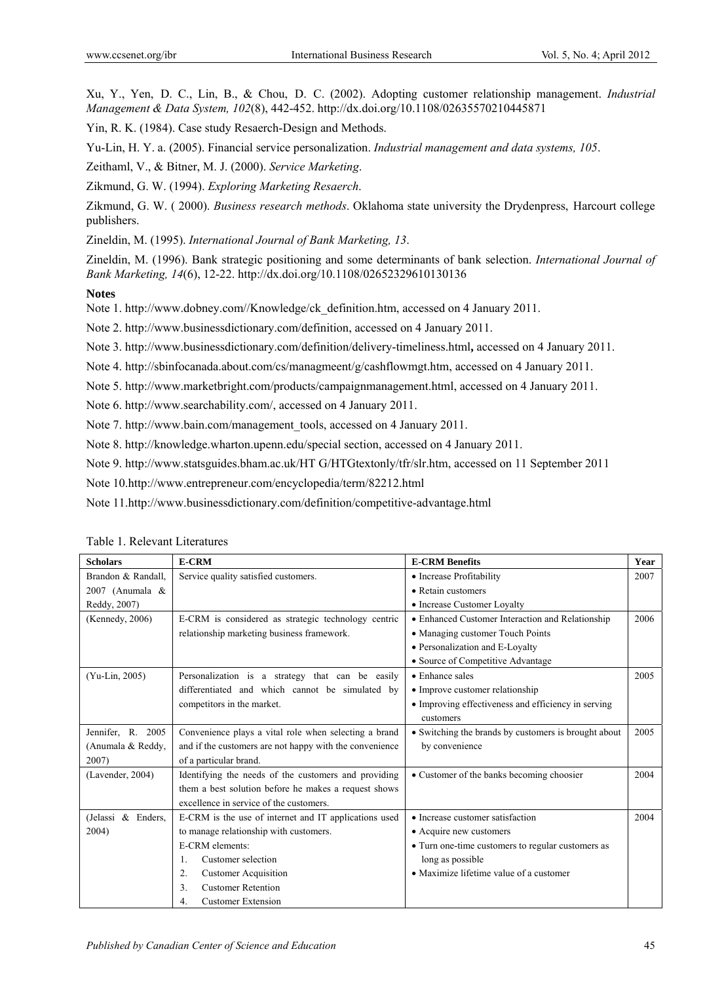Xu, Y., Yen, D. C., Lin, B., & Chou, D. C. (2002). Adopting customer relationship management. *Industrial Management & Data System, 102*(8), 442-452. http://dx.doi.org/10.1108/02635570210445871

Yin, R. K. (1984). Case study Resaerch-Design and Methods.

Yu-Lin, H. Y. a. (2005). Financial service personalization. *Industrial management and data systems, 105*.

Zeithaml, V., & Bitner, M. J. (2000). *Service Marketing*.

Zikmund, G. W. (1994). *Exploring Marketing Resaerch*.

Zikmund, G. W. ( 2000). *Business research methods*. Oklahoma state university the Drydenpress, Harcourt college publishers.

Zineldin, M. (1995). *International Journal of Bank Marketing, 13*.

Zineldin, M. (1996). Bank strategic positioning and some determinants of bank selection. *International Journal of Bank Marketing, 14*(6), 12-22. http://dx.doi.org/10.1108/02652329610130136

#### **Notes**

Note 1. http://www.dobney.com//Knowledge/ck\_definition.htm, accessed on 4 January 2011.

Note 2. http://www.businessdictionary.com/definition, accessed on 4 January 2011.

Note 3. http://www.businessdictionary.com/definition/delivery-timeliness.html**,** accessed on 4 January 2011.

Note 4. http://sbinfocanada.about.com/cs/managmeent/g/cashflowmgt.htm, accessed on 4 January 2011.

Note 5. http://www.marketbright.com/products/campaignmanagement.html, accessed on 4 January 2011.

Note 6. http://www.searchability.com/, accessed on 4 January 2011.

Note 7. http://www.bain.com/management\_tools, accessed on 4 January 2011.

Note 8. http://knowledge.wharton.upenn.edu/special section, accessed on 4 January 2011.

Note 9. http://www.statsguides.bham.ac.uk/HT G/HTGtextonly/tfr/slr.htm, accessed on 11 September 2011

Note 10.http://www.entrepreneur.com/encyclopedia/term/82212.html

Note 11.http://www.businessdictionary.com/definition/competitive-advantage.html

| <b>Scholars</b>    | E-CRM                                                   | <b>E-CRM Benefits</b>                                | Year |
|--------------------|---------------------------------------------------------|------------------------------------------------------|------|
| Brandon & Randall. | Service quality satisfied customers.                    | • Increase Profitability                             | 2007 |
| 2007 (Anumala &    |                                                         | • Retain customers                                   |      |
| Reddy, 2007)       |                                                         | • Increase Customer Loyalty                          |      |
| (Kennedy, 2006)    | E-CRM is considered as strategic technology centric     | • Enhanced Customer Interaction and Relationship     | 2006 |
|                    | relationship marketing business framework.              | • Managing customer Touch Points                     |      |
|                    |                                                         | • Personalization and E-Loyalty                      |      |
|                    |                                                         | • Source of Competitive Advantage                    |      |
| (Yu-Lin, 2005)     | Personalization is a strategy that can be easily        | • Enhance sales                                      | 2005 |
|                    | differentiated and which cannot be simulated by         | · Improve customer relationship                      |      |
|                    | competitors in the market.                              | • Improving effectiveness and efficiency in serving  |      |
|                    |                                                         | customers                                            |      |
| Jennifer, R. 2005  | Convenience plays a vital role when selecting a brand   | • Switching the brands by customers is brought about | 2005 |
| (Anumala & Reddy,  | and if the customers are not happy with the convenience | by convenience                                       |      |
| 2007)              | of a particular brand.                                  |                                                      |      |
| (Lavender, 2004)   | Identifying the needs of the customers and providing    | • Customer of the banks becoming choosier            | 2004 |
|                    | them a best solution before he makes a request shows    |                                                      |      |
|                    | excellence in service of the customers.                 |                                                      |      |
| (Jelassi & Enders, | E-CRM is the use of internet and IT applications used   | • Increase customer satisfaction                     | 2004 |
| 2004)              | to manage relationship with customers.                  | • Acquire new customers                              |      |
|                    | E-CRM elements:                                         | • Turn one-time customers to regular customers as    |      |
|                    | Customer selection<br>1.                                | long as possible                                     |      |
|                    | 2.<br><b>Customer Acquisition</b>                       | • Maximize lifetime value of a customer              |      |
|                    | <b>Customer Retention</b><br>3.                         |                                                      |      |
|                    | <b>Customer Extension</b><br>4.                         |                                                      |      |

Table 1. Relevant Literatures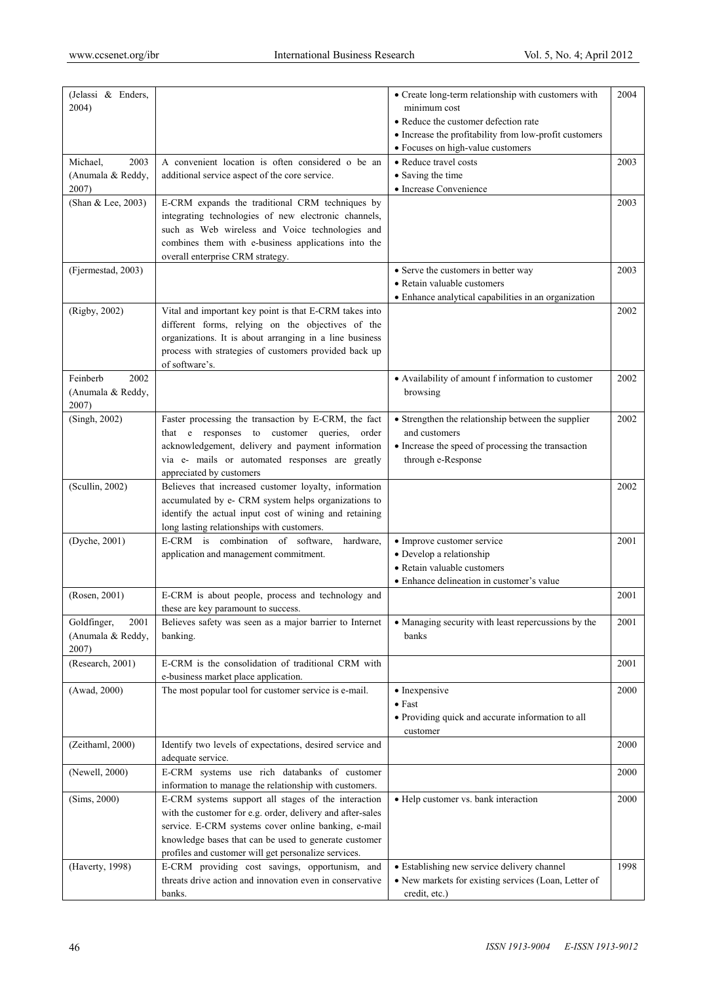| (Jelassi & Enders,  |                                                            | • Create long-term relationship with customers with    | 2004 |
|---------------------|------------------------------------------------------------|--------------------------------------------------------|------|
| 2004)               |                                                            | minimum cost                                           |      |
|                     |                                                            | • Reduce the customer defection rate                   |      |
|                     |                                                            | • Increase the profitability from low-profit customers |      |
|                     |                                                            | • Focuses on high-value customers                      |      |
| 2003<br>Michael,    | A convenient location is often considered o be an          | • Reduce travel costs                                  | 2003 |
| (Anumala & Reddy,   | additional service aspect of the core service.             | • Saving the time                                      |      |
| 2007)               |                                                            | • Increase Convenience                                 |      |
| (Shan & Lee, 2003)  | E-CRM expands the traditional CRM techniques by            |                                                        | 2003 |
|                     | integrating technologies of new electronic channels,       |                                                        |      |
|                     | such as Web wireless and Voice technologies and            |                                                        |      |
|                     | combines them with e-business applications into the        |                                                        |      |
|                     | overall enterprise CRM strategy.                           |                                                        |      |
| (Fjermestad, 2003)  |                                                            | • Serve the customers in better way                    | 2003 |
|                     |                                                            | • Retain valuable customers                            |      |
|                     |                                                            | • Enhance analytical capabilities in an organization   |      |
| (Rigby, 2002)       | Vital and important key point is that E-CRM takes into     |                                                        | 2002 |
|                     | different forms, relying on the objectives of the          |                                                        |      |
|                     | organizations. It is about arranging in a line business    |                                                        |      |
|                     | process with strategies of customers provided back up      |                                                        |      |
|                     | of software's.                                             |                                                        |      |
| 2002<br>Feinberb    |                                                            | • Availability of amount f information to customer     | 2002 |
| (Anumala & Reddy,   |                                                            | browsing                                               |      |
| 2007)               |                                                            |                                                        |      |
| (Singh, 2002)       | Faster processing the transaction by E-CRM, the fact       | • Strengthen the relationship between the supplier     | 2002 |
|                     | that e responses to customer queries, order                | and customers                                          |      |
|                     | acknowledgement, delivery and payment information          | • Increase the speed of processing the transaction     |      |
|                     | via e- mails or automated responses are greatly            | through e-Response                                     |      |
|                     | appreciated by customers                                   |                                                        |      |
| (Scullin, 2002)     | Believes that increased customer loyalty, information      |                                                        | 2002 |
|                     | accumulated by e- CRM system helps organizations to        |                                                        |      |
|                     | identify the actual input cost of wining and retaining     |                                                        |      |
|                     | long lasting relationships with customers.                 |                                                        |      |
| (Dyche, 2001)       | E-CRM is combination of software,<br>hardware,             | · Improve customer service                             | 2001 |
|                     | application and management commitment.                     | · Develop a relationship                               |      |
|                     |                                                            | • Retain valuable customers                            |      |
|                     |                                                            | • Enhance delineation in customer's value              |      |
| (Rosen, 2001)       | E-CRM is about people, process and technology and          |                                                        | 2001 |
|                     | these are key paramount to success.                        |                                                        |      |
| Goldfinger,<br>2001 | Believes safety was seen as a major barrier to Internet    | • Managing security with least repercussions by the    | 2001 |
| (Anumala & Reddy,   | banking.                                                   | banks                                                  |      |
| 2007)               |                                                            |                                                        |      |
| (Research, 2001)    | E-CRM is the consolidation of traditional CRM with         |                                                        | 2001 |
|                     | e-business market place application.                       |                                                        |      |
| (Awad, 2000)        | The most popular tool for customer service is e-mail.      | • Inexpensive                                          | 2000 |
|                     |                                                            | $\bullet$ Fast                                         |      |
|                     |                                                            | • Providing quick and accurate information to all      |      |
|                     |                                                            | customer                                               |      |
| (Zeithaml, 2000)    | Identify two levels of expectations, desired service and   |                                                        | 2000 |
|                     | adequate service.                                          |                                                        |      |
| (Newell, 2000)      | E-CRM systems use rich databanks of customer               |                                                        | 2000 |
|                     | information to manage the relationship with customers.     |                                                        |      |
| (Sims, 2000)        | E-CRM systems support all stages of the interaction        | • Help customer vs. bank interaction                   | 2000 |
|                     | with the customer for e.g. order, delivery and after-sales |                                                        |      |
|                     | service. E-CRM systems cover online banking, e-mail        |                                                        |      |
|                     | knowledge bases that can be used to generate customer      |                                                        |      |
|                     | profiles and customer will get personalize services.       |                                                        |      |
| (Haverty, 1998)     | E-CRM providing cost savings, opportunism, and             | • Establishing new service delivery channel            | 1998 |
|                     | threats drive action and innovation even in conservative   | • New markets for existing services (Loan, Letter of   |      |
|                     | banks.                                                     | credit, etc.)                                          |      |
|                     |                                                            |                                                        |      |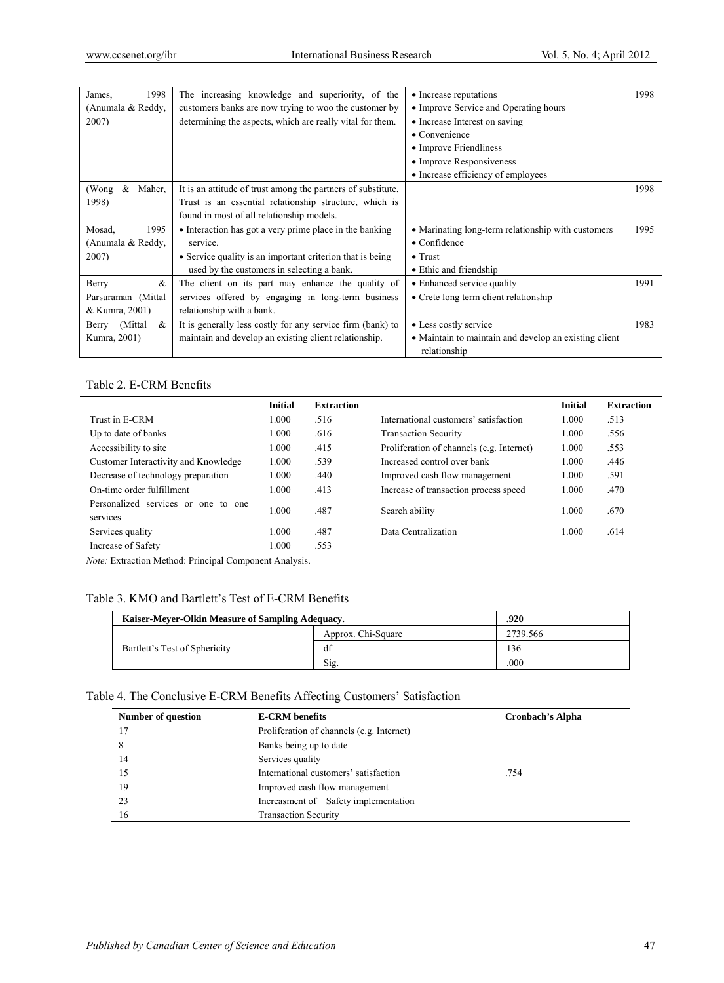| 1998<br>James,         | The increasing knowledge and superiority, of the             | • Increase reputations                                | 1998 |
|------------------------|--------------------------------------------------------------|-------------------------------------------------------|------|
| (Anumala & Reddy,      | customers banks are now trying to woo the customer by        | • Improve Service and Operating hours                 |      |
| 2007)                  | determining the aspects, which are really vital for them.    | • Increase Interest on saving                         |      |
|                        |                                                              | $\bullet$ Convenience                                 |      |
|                        |                                                              | • Improve Friendliness                                |      |
|                        |                                                              | • Improve Responsiveness                              |      |
|                        |                                                              | • Increase efficiency of employees                    |      |
| (Wong)<br>&<br>Maher,  | It is an attitude of trust among the partners of substitute. |                                                       | 1998 |
| 1998)                  | Trust is an essential relationship structure, which is       |                                                       |      |
|                        | found in most of all relationship models.                    |                                                       |      |
| 1995<br>Mosad.         | • Interaction has got a very prime place in the banking      | • Marinating long-term relationship with customers    | 1995 |
| (Anumala & Reddy,      | service.                                                     | $\bullet$ Confidence                                  |      |
| 2007)                  | • Service quality is an important criterion that is being    | $\bullet$ Trust                                       |      |
|                        | used by the customers in selecting a bank.                   | • Ethic and friendship                                |      |
| $\&$<br>Berry          | The client on its part may enhance the quality of            | • Enhanced service quality                            | 1991 |
| Parsuraman (Mittal     | services offered by engaging in long-term business           | • Crete long term client relationship                 |      |
| & Kumra, 2001)         | relationship with a bank.                                    |                                                       |      |
| (Mittal)<br>&<br>Berry | It is generally less costly for any service firm (bank) to   | • Less costly service                                 | 1983 |
| Kumra, 2001)           | maintain and develop an existing client relationship.        | • Maintain to maintain and develop an existing client |      |
|                        |                                                              | relationship                                          |      |

## Table 2. E-CRM Benefits

|                                                 | <b>Initial</b> | <b>Extraction</b> |                                           | <b>Initial</b> | <b>Extraction</b> |
|-------------------------------------------------|----------------|-------------------|-------------------------------------------|----------------|-------------------|
| Trust in E-CRM                                  | .000           | .516              | International customers' satisfaction     | 1.000          | .513              |
| Up to date of banks                             | .000           | .616              | <b>Transaction Security</b>               | 1.000          | .556              |
| Accessibility to site                           | 1.000          | .415              | Proliferation of channels (e.g. Internet) | 1.000          | .553              |
| Customer Interactivity and Knowledge            | 1.000          | .539              | Increased control over bank               | 1.000          | .446              |
| Decrease of technology preparation              | 000.           | .440              | Improved cash flow management             | 1.000          | .591              |
| On-time order fulfillment                       | .000           | .413              | Increase of transaction process speed     | 1.000          | .470              |
| Personalized services or one to one<br>services | 1.000          | .487              | Search ability                            | 1.000          | .670              |
| Services quality                                | 1.000          | .487              | Data Centralization                       | 1.000          | .614              |
| Increase of Safety                              | 1.000          | .553              |                                           |                |                   |

*Note:* Extraction Method: Principal Component Analysis.

# Table 3. KMO and Bartlett's Test of E-CRM Benefits

| Kaiser-Mever-Olkin Measure of Sampling Adequacy. | .920               |          |
|--------------------------------------------------|--------------------|----------|
|                                                  | Approx. Chi-Square | 2739.566 |
| Bartlett's Test of Sphericity                    | df                 | 36       |
|                                                  | Sig                | .000     |

# Table 4. The Conclusive E-CRM Benefits Affecting Customers' Satisfaction

| Number of question | <b>E-CRM</b> benefits                     | <b>Cronbach's Alpha</b> |
|--------------------|-------------------------------------------|-------------------------|
| 17                 | Proliferation of channels (e.g. Internet) |                         |
| 8                  | Banks being up to date                    |                         |
| 14                 | Services quality                          |                         |
| 15                 | International customers' satisfaction     | .754                    |
| 19                 | Improved cash flow management             |                         |
| 23                 | Increasment of Safety implementation      |                         |
| 16                 | <b>Transaction Security</b>               |                         |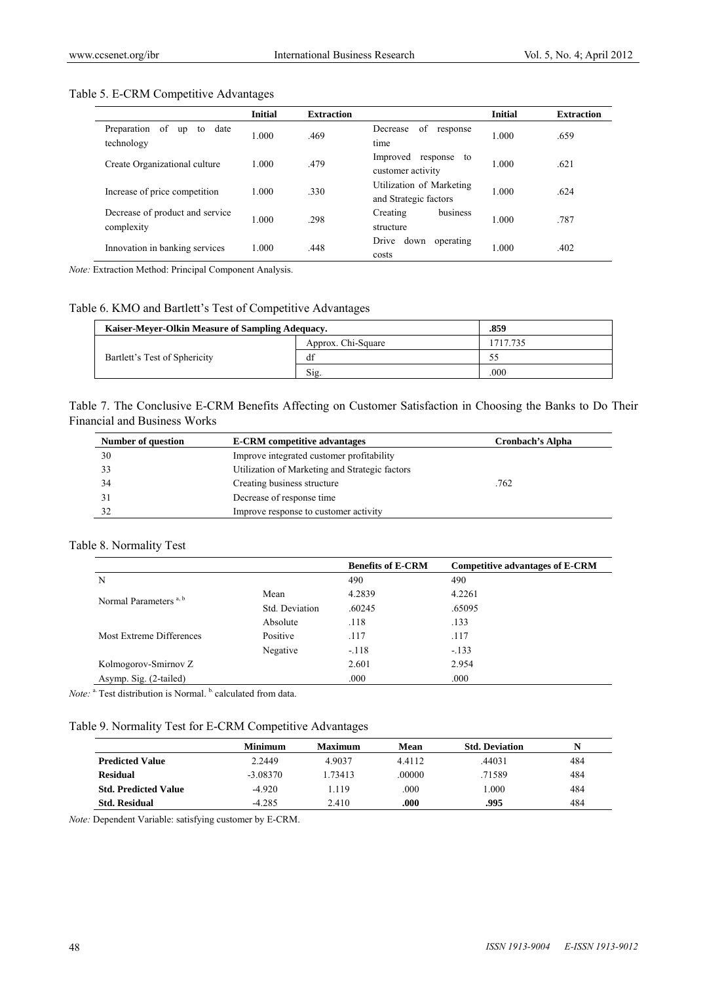# Table 5. E-CRM Competitive Advantages

|                                                     | <b>Initial</b> | <b>Extraction</b> |                                                   | <b>Initial</b> | <b>Extraction</b> |
|-----------------------------------------------------|----------------|-------------------|---------------------------------------------------|----------------|-------------------|
| of<br>Preparation<br>date<br>up<br>to<br>technology | 1.000          | .469              | of<br>Decrease<br>response<br>time                | 1.000          | .659              |
| Create Organizational culture                       | 1.000          | .479              | Improved<br>response<br>to<br>customer activity   | 1.000          | .621              |
| Increase of price competition                       | 1.000          | .330              | Utilization of Marketing<br>and Strategic factors | 1.000          | .624              |
| Decrease of product and service<br>complexity       | 1.000          | .298              | business<br>Creating<br>structure                 | 1.000          | .787              |
| Innovation in banking services                      | 1.000          | .448              | Drive<br>operating<br>down<br>costs               | 1.000          | .402              |

*Note:* Extraction Method: Principal Component Analysis.

## Table 6. KMO and Bartlett's Test of Competitive Advantages

| Kaiser-Meyer-Olkin Measure of Sampling Adequacy. |                    | .859     |
|--------------------------------------------------|--------------------|----------|
| Bartlett's Test of Sphericity                    | Approx. Chi-Square | 1717.735 |
|                                                  | df                 |          |
|                                                  | Sig.               | .000     |

# Table 7. The Conclusive E-CRM Benefits Affecting on Customer Satisfaction in Choosing the Banks to Do Their Financial and Business Works

| Number of question | <b>E-CRM</b> competitive advantages            | Cronbach's Alpha |
|--------------------|------------------------------------------------|------------------|
| 30                 | Improve integrated customer profitability      |                  |
| 33                 | Utilization of Marketing and Strategic factors |                  |
| 34                 | Creating business structure                    | .762             |
| 31                 | Decrease of response time                      |                  |
|                    | Improve response to customer activity          |                  |

# Table 8. Normality Test

|                                   |                | <b>Benefits of E-CRM</b> | <b>Competitive advantages of E-CRM</b> |
|-----------------------------------|----------------|--------------------------|----------------------------------------|
| N                                 |                | 490                      | 490                                    |
| Normal Parameters <sup>a, b</sup> | Mean           | 4.2839                   | 4.2261                                 |
|                                   | Std. Deviation | .60245                   | .65095                                 |
|                                   | Absolute       | .118                     | .133                                   |
| Most Extreme Differences          | Positive       | .117                     | .117                                   |
|                                   | Negative       | $-.118$                  | $-133$                                 |
| Kolmogorov-Smirnov Z              |                | 2.601                    | 2.954                                  |
| Asymp. Sig. (2-tailed)            |                | .000                     | .000                                   |

*Note:*  $\frac{a}{b}$  Test distribution is Normal.  $\frac{b}{c}$  calculated from data.

# Table 9. Normality Test for E-CRM Competitive Advantages

|                             | <b>Minimum</b> | Maximum | Mean   | <b>Std. Deviation</b> | N   |
|-----------------------------|----------------|---------|--------|-----------------------|-----|
| <b>Predicted Value</b>      | 2.2449         | 4.9037  | 4.4112 | .44031                | 484 |
| <b>Residual</b>             | $-3.08370$     | 1.73413 | .00000 | .71589                | 484 |
| <b>Std. Predicted Value</b> | $-4.920$       | 1.119   | .000   | .000.                 | 484 |
| <b>Std. Residual</b>        | $-4.285$       | 2.410   | .000   | .995                  | 484 |

*Note:* Dependent Variable: satisfying customer by E-CRM.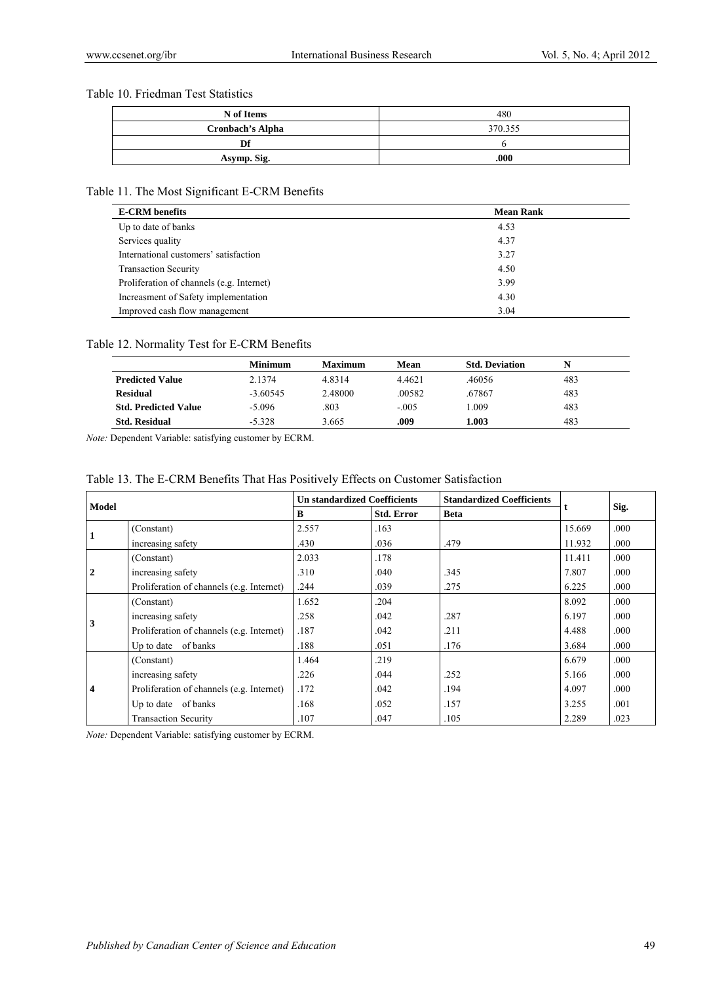# Table 10. Friedman Test Statistics

| N of Items              | 480     |
|-------------------------|---------|
| <b>Cronbach's Alpha</b> | 370.355 |
| Df                      |         |
| Asymp. Sig.             | .000    |

# Table 11. The Most Significant E-CRM Benefits

| <b>E-CRM</b> benefits                     | <b>Mean Rank</b> |
|-------------------------------------------|------------------|
| Up to date of banks                       | 4.53             |
| Services quality                          | 4.37             |
| International customers' satisfaction     | 3.27             |
| <b>Transaction Security</b>               | 4.50             |
| Proliferation of channels (e.g. Internet) | 3.99             |
| Increasment of Safety implementation      | 4.30             |
| Improved cash flow management             | 3.04             |

# Table 12. Normality Test for E-CRM Benefits

|                             | <b>Minimum</b> | <b>Maximum</b> | Mean    | <b>Std. Deviation</b> |     |
|-----------------------------|----------------|----------------|---------|-----------------------|-----|
| <b>Predicted Value</b>      | 2.1374         | 4.8314         | 4.4621  | .46056                | 483 |
| <b>Residual</b>             | $-3.60545$     | 2.48000        | .00582  | .67867                | 483 |
| <b>Std. Predicted Value</b> | $-5.096$       | .803           | $-.005$ | .009                  | 483 |
| <b>Std. Residual</b>        | $-5.328$       | 3.665          | .009    | 1.003                 | 483 |

*Note:* Dependent Variable: satisfying customer by ECRM.

# Table 13. The E-CRM Benefits That Has Positively Effects on Customer Satisfaction

|              | <b>Model</b>                              |       | <b>Un standardized Coefficients</b> | <b>Standardized Coefficients</b> |        |      |
|--------------|-------------------------------------------|-------|-------------------------------------|----------------------------------|--------|------|
|              |                                           | B     | <b>Std. Error</b>                   | <b>Beta</b>                      |        | Sig. |
|              | (Constant)                                | 2.557 | .163                                |                                  | 15.669 | .000 |
| $\mathbf{1}$ | increasing safety                         | .430  | .036                                | .479                             | 11.932 | .000 |
|              | (Constant)                                | 2.033 | .178                                |                                  | 11.411 | .000 |
| $\mathbf{2}$ | increasing safety                         | .310  | .040                                | .345                             | 7.807  | .000 |
|              | Proliferation of channels (e.g. Internet) | .244  | .039                                | .275                             | 6.225  | .000 |
|              | (Constant)                                | 1.652 | .204                                |                                  | 8.092  | .000 |
| 3            | increasing safety                         | .258  | .042                                | .287                             | 6.197  | .000 |
|              | Proliferation of channels (e.g. Internet) | .187  | .042                                | .211                             | 4.488  | .000 |
|              | of banks<br>Up to date                    | .188  | .051                                | .176                             | 3.684  | .000 |
|              | (Constant)                                | 1.464 | .219                                |                                  | 6.679  | .000 |
|              | increasing safety                         | .226  | .044                                | .252                             | 5.166  | .000 |
| 4            | Proliferation of channels (e.g. Internet) | .172  | .042                                | .194                             | 4.097  | .000 |
|              | Up to date of banks                       | .168  | .052                                | .157                             | 3.255  | .001 |
|              | <b>Transaction Security</b>               | .107  | .047                                | .105                             | 2.289  | .023 |

*Note:* Dependent Variable: satisfying customer by ECRM.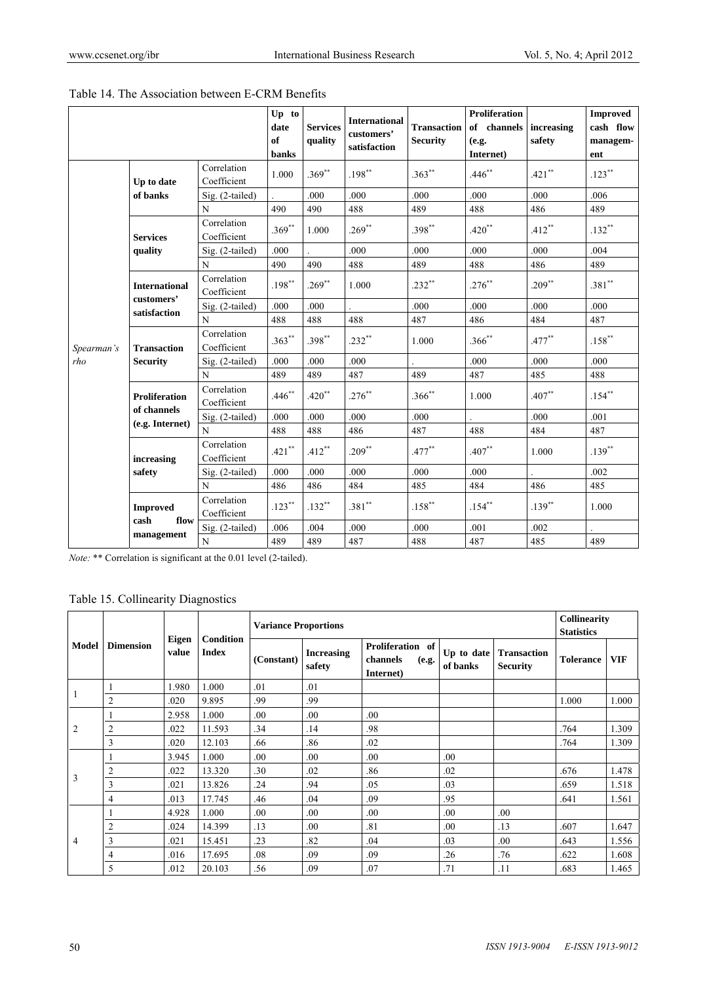**Improved cash flow management** 

|            |                                                    |                            | Up to<br>date<br>of<br>banks | <b>Services</b><br>quality | <b>International</b><br>customers'<br>satisfaction | <b>Transaction</b><br><b>Security</b> | <b>Proliferation</b><br>of channels<br>(e.g.<br>Internet) | increasing<br>safety | Impre<br>cash<br>mana<br>ent |
|------------|----------------------------------------------------|----------------------------|------------------------------|----------------------------|----------------------------------------------------|---------------------------------------|-----------------------------------------------------------|----------------------|------------------------------|
|            | Up to date                                         | Correlation<br>Coefficient | 1.000                        | $.369***$                  | $.198**$                                           | $.363**$                              | $.446***$                                                 | $.421***$            | $.123**$                     |
|            | of banks                                           | Sig. (2-tailed)            |                              | .000                       | .000                                               | .000                                  | .000                                                      | .000                 | .006                         |
|            |                                                    | N                          | 490                          | 490                        | 488                                                | 489                                   | 488                                                       | 486                  | 489                          |
|            | <b>Services</b><br>quality                         | Correlation<br>Coefficient | $.369**$                     | 1.000                      | $.269***$                                          | .398**                                | $.420**$                                                  | $.412***$            | $.132**$                     |
|            |                                                    | Sig. (2-tailed)            | .000                         |                            | .000                                               | .000                                  | .000                                                      | .000                 | .004                         |
|            |                                                    | N                          | 490                          | 490                        | 488                                                | 489                                   | 488                                                       | 486                  | 489                          |
|            | <b>International</b><br>customers'<br>satisfaction | Correlation<br>Coefficient | $.198**$                     | $.269**$                   | 1.000                                              | $.232**$                              | $.276***$                                                 | $.209**$             | $.381**$                     |
|            |                                                    | Sig. (2-tailed)            | .000                         | .000                       |                                                    | .000                                  | .000                                                      | .000                 | .000                         |
|            |                                                    | N                          | 488                          | 488                        | 488                                                | 487                                   | 486                                                       | 484                  | 487                          |
| Spearman's | <b>Transaction</b>                                 | Correlation<br>Coefficient | $.363***$                    | $.398***$                  | $.232***$                                          | 1.000                                 | $.366^{**}$                                               | $.477***$            | $.158***$                    |
| rho        | <b>Security</b>                                    | Sig. (2-tailed)            | .000                         | .000                       | .000                                               |                                       | .000                                                      | .000                 | .000                         |
|            |                                                    | N                          | 489                          | 489                        | 487                                                | 489                                   | 487                                                       | 485                  | 488                          |
|            | <b>Proliferation</b>                               | Correlation<br>Coefficient | $.446**$                     | $.420**$                   | $.276***$                                          | $.366**$                              | 1.000                                                     | $.407**$             | $.154$ **                    |
|            | of channels                                        | $Sig. (2-tailed)$          | .000                         | .000                       | .000                                               | .000                                  |                                                           | .000                 | .001                         |
|            | (e.g. Internet)                                    | $\mathbf N$                | 488                          | 488                        | 486                                                | 487                                   | 488                                                       | 484                  | 487                          |
|            | increasing                                         | Correlation<br>Coefficient | $.421***$                    | $.412**$                   | $.209***$                                          | $.477***$                             | $.407**$                                                  | 1.000                | $.139**$                     |
|            | safety                                             | Sig. (2-tailed)            | .000                         | .000                       | .000                                               | .000                                  | .000                                                      |                      | .002                         |
|            |                                                    | N                          | 486                          | 486                        | 484                                                | 485                                   | 484                                                       | 486                  | 485                          |

Table 14. The Association between E-CRM Benefits

*Note:* \*\* Correlation is significant at the 0.01 level (2-tailed).

Correlation

# Table 15. Collinearity Diagnostics

**Improved cash flow management** 

|                | <b>Dimension</b> | Eigen<br>value | Condition<br><b>Index</b> | <b>Variance Proportions</b> | <b>Collinearity</b><br><b>Statistics</b> |                                                    |                        |                                       |                  |            |
|----------------|------------------|----------------|---------------------------|-----------------------------|------------------------------------------|----------------------------------------------------|------------------------|---------------------------------------|------------------|------------|
| Model          |                  |                |                           | (Constant)                  | <b>Increasing</b><br>safety              | Proliferation of<br>channels<br>(e.g.<br>Internet) | Up to date<br>of banks | <b>Transaction</b><br><b>Security</b> | <b>Tolerance</b> | <b>VIF</b> |
|                |                  | 1.980          | 1.000                     | .01                         | .01                                      |                                                    |                        |                                       |                  |            |
| 1              | $\overline{2}$   | .020           | 9.895                     | .99                         | .99                                      |                                                    |                        |                                       | 1.000            | 1.000      |
|                |                  | 2.958          | 1.000                     | .00                         | .00                                      | .00                                                |                        |                                       |                  |            |
| $\overline{c}$ | $\overline{2}$   | .022           | 11.593                    | .34                         | .14                                      | .98                                                |                        |                                       | .764             | 1.309      |
|                | 3                | .020           | 12.103                    | .66                         | .86                                      | .02                                                |                        |                                       | .764             | 1.309      |
|                |                  | 3.945          | 1.000                     | .00                         | .00                                      | .00                                                | .00.                   |                                       |                  |            |
|                | $\overline{2}$   | .022           | 13.320                    | .30                         | .02                                      | .86                                                | .02                    |                                       | .676             | 1.478      |
| 3              | 3                | .021           | 13.826                    | .24                         | .94                                      | .05                                                | .03                    |                                       | .659             | 1.518      |
|                | 4                | .013           | 17.745                    | .46                         | .04                                      | .09                                                | .95                    |                                       | .641             | 1.561      |
|                |                  | 4.928          | 1.000                     | .00                         | .00                                      | .00                                                | .00.                   | .00                                   |                  |            |
|                | $\overline{2}$   | .024           | 14.399                    | .13                         | .00                                      | .81                                                | .00.                   | .13                                   | .607             | 1.647      |
| $\overline{4}$ | 3                | .021           | 15.451                    | .23                         | .82                                      | .04                                                | .03                    | .00                                   | .643             | 1.556      |
|                | 4                | .016           | 17.695                    | .08                         | .09                                      | .09                                                | .26                    | .76                                   | .622             | 1.608      |
|                | 5                | .012           | 20.103                    | .56                         | .09                                      | .07                                                | .71                    | .11                                   | .683             | 1.465      |

Contration .123\*\* .132\*\* .381\*\* .158\*\* .154\*\* .139\*\* .139\*\* .1.000

N 489 489 487 488 487 485 489

Sig. (2-tailed) .006 .004 .000 .000 .000 .001 .002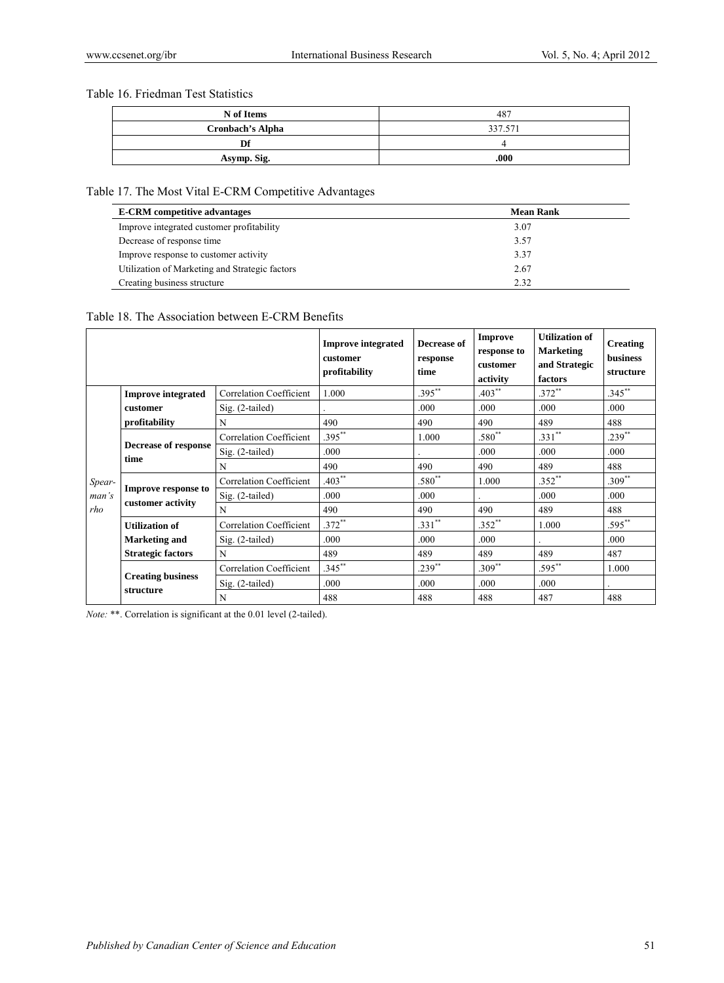# Table 16. Friedman Test Statistics

| N of Items              | 487     |  |  |  |  |
|-------------------------|---------|--|--|--|--|
| <b>Cronbach's Alpha</b> | 337.571 |  |  |  |  |
| Df                      |         |  |  |  |  |
| Asymp. Sig.             | .000    |  |  |  |  |

# Table 17. The Most Vital E-CRM Competitive Advantages

| <b>E-CRM</b> competitive advantages            | <b>Mean Rank</b> |
|------------------------------------------------|------------------|
| Improve integrated customer profitability      | 3.07             |
| Decrease of response time                      | 3.57             |
| Improve response to customer activity          | 3.37             |
| Utilization of Marketing and Strategic factors | 2.67             |
| Creating business structure                    | 2.32             |

# Table 18. The Association between E-CRM Benefits

|        |                                                 |                                | <b>Improve integrated</b><br>customer<br>profitability | Decrease of<br>response<br>time | <b>Improve</b><br>response to<br>customer<br>activity | <b>Utilization of</b><br><b>Marketing</b><br>and Strategic<br>factors | <b>Creating</b><br>business<br>structure |
|--------|-------------------------------------------------|--------------------------------|--------------------------------------------------------|---------------------------------|-------------------------------------------------------|-----------------------------------------------------------------------|------------------------------------------|
|        | <b>Improve integrated</b>                       | <b>Correlation Coefficient</b> | 1.000                                                  | $.395***$                       | $.403**$                                              | $.372$ **                                                             | $.345***$                                |
|        | customer                                        | $Sig. (2-tailed)$              |                                                        | .000                            | .000                                                  | .000                                                                  | .000                                     |
|        | profitability                                   | N                              | 490                                                    | 490                             | 490                                                   | 489                                                                   | 488                                      |
|        | <b>Decrease of response</b><br>time             | <b>Correlation Coefficient</b> | $.395***$                                              | 1.000                           | .580**                                                | $.331**$                                                              | $.239**$                                 |
|        |                                                 | $Sig. (2-tailed)$              | .000                                                   |                                 | .000                                                  | .000                                                                  | .000                                     |
|        |                                                 | N                              | 490                                                    | 490                             | 490                                                   | 489                                                                   | 488                                      |
| Spear- |                                                 | <b>Correlation Coefficient</b> | $.403**$                                               | $.580^{**}$                     | 1.000                                                 | $.352**$                                                              | $.309**$                                 |
| man's  | <b>Improve response to</b><br>customer activity | $Sig. (2-tailed)$              | .000                                                   | .000                            |                                                       | .000                                                                  | .000                                     |
| rho    |                                                 | N                              | 490                                                    | 490                             | 490                                                   | 489                                                                   | 488                                      |
|        | <b>Utilization of</b>                           | Correlation Coefficient        | $.372**$                                               | $.331**$                        | $.352**$                                              | 1.000                                                                 | .595**                                   |
|        | <b>Marketing and</b>                            | $Sig. (2-tailed)$              | .000                                                   | .000                            | .000                                                  |                                                                       | .000                                     |
|        | <b>Strategic factors</b>                        | N                              | 489                                                    | 489                             | 489                                                   | 489                                                                   | 487                                      |
|        |                                                 | Correlation Coefficient        | $.345**$                                               | $.239**$                        | $.309**$                                              | .595**                                                                | 1.000                                    |
|        | <b>Creating business</b><br>structure           | $Sig. (2-tailed)$              | .000                                                   | .000                            | .000                                                  | .000                                                                  |                                          |
|        |                                                 | N                              | 488                                                    | 488                             | 488                                                   | 487                                                                   | 488                                      |

*Note:* \*\*. Correlation is significant at the 0.01 level (2-tailed).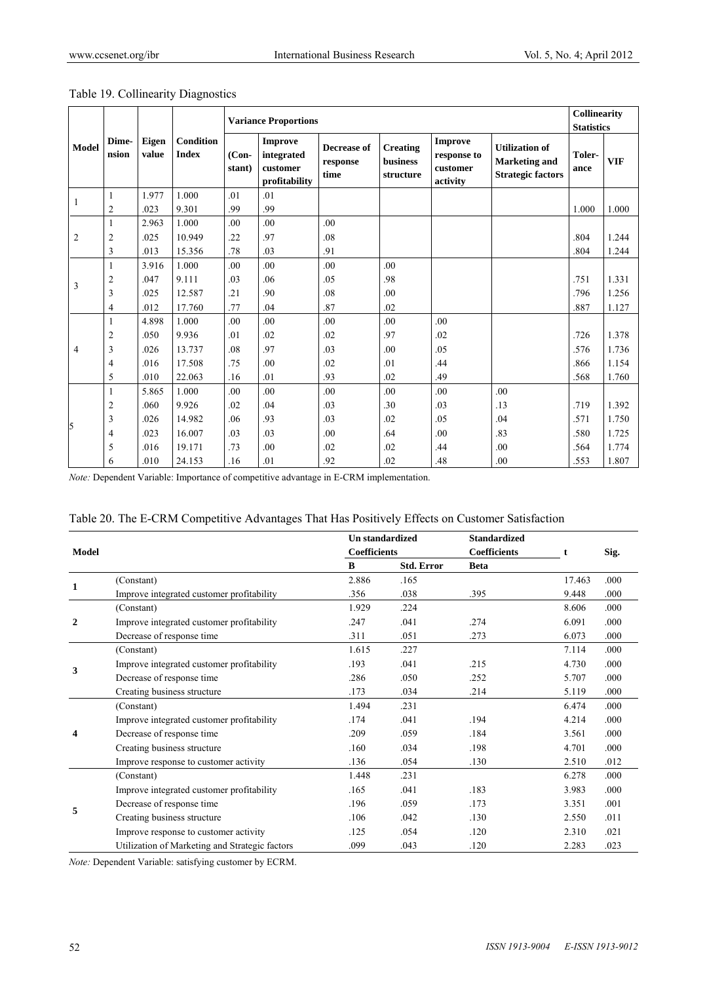|                |                |                       |                                  | <b>Variance Proportions</b> | <b>Collinearity</b><br><b>Statistics</b>                  |                                 |                                          |                                                       |                                                                           |                |            |
|----------------|----------------|-----------------------|----------------------------------|-----------------------------|-----------------------------------------------------------|---------------------------------|------------------------------------------|-------------------------------------------------------|---------------------------------------------------------------------------|----------------|------------|
| <b>Model</b>   | Dime-<br>nsion | <b>Eigen</b><br>value | <b>Condition</b><br><b>Index</b> | $(Con-$<br>stant)           | <b>Improve</b><br>integrated<br>customer<br>profitability | Decrease of<br>response<br>time | <b>Creating</b><br>business<br>structure | <b>Improve</b><br>response to<br>customer<br>activity | <b>Utilization</b> of<br><b>Marketing and</b><br><b>Strategic factors</b> | Toler-<br>ance | <b>VIF</b> |
| 1              | $\mathbf{1}$   | 1.977                 | 1.000                            | .01                         | .01                                                       |                                 |                                          |                                                       |                                                                           |                |            |
|                | $\overline{c}$ | .023                  | 9.301                            | .99                         | .99                                                       |                                 |                                          |                                                       |                                                                           | 1.000          | 1.000      |
|                | $\mathbf{1}$   | 2.963                 | 1.000                            | .00                         | .00                                                       | .00                             |                                          |                                                       |                                                                           |                |            |
| 2              | $\overline{2}$ | .025                  | 10.949                           | .22                         | .97                                                       | .08                             |                                          |                                                       |                                                                           | .804           | 1.244      |
|                | 3              | .013                  | 15.356                           | .78                         | .03                                                       | .91                             |                                          |                                                       |                                                                           | .804           | 1.244      |
|                |                | 3.916                 | 1.000                            | .00                         | .00                                                       | .00                             | .00                                      |                                                       |                                                                           |                |            |
|                | $\overline{2}$ | .047                  | 9.111                            | .03                         | .06                                                       | .05                             | .98                                      |                                                       |                                                                           | .751           | 1.331      |
| 3              | 3              | .025                  | 12.587                           | .21                         | .90                                                       | .08                             | .00                                      |                                                       |                                                                           | .796           | 1.256      |
|                | 4              | .012                  | 17.760                           | .77                         | .04                                                       | .87                             | .02                                      |                                                       |                                                                           | .887           | 1.127      |
|                | $\mathbf{1}$   | 4.898                 | 1.000                            | .00 <sub>1</sub>            | .00.                                                      | .00                             | .00.                                     | .00 <sub>1</sub>                                      |                                                                           |                |            |
|                | $\overline{2}$ | .050                  | 9.936                            | .01                         | .02                                                       | .02                             | .97                                      | .02                                                   |                                                                           | .726           | 1.378      |
| $\overline{4}$ | 3              | .026                  | 13.737                           | .08                         | .97                                                       | .03                             | .00                                      | .05                                                   |                                                                           | .576           | 1.736      |
|                | $\overline{4}$ | .016                  | 17.508                           | .75                         | .00                                                       | .02                             | .01                                      | .44                                                   |                                                                           | .866           | 1.154      |
|                | 5              | .010                  | 22.063                           | .16                         | .01                                                       | .93                             | .02                                      | .49                                                   |                                                                           | .568           | 1.760      |
|                | $\mathbf{1}$   | 5.865                 | 1.000                            | .00                         | .00                                                       | .00                             | .00                                      | .00                                                   | .00                                                                       |                |            |
|                | $\overline{c}$ | .060                  | 9.926                            | .02                         | .04                                                       | .03                             | .30                                      | .03                                                   | .13                                                                       | .719           | 1.392      |
| 5              | 3              | .026                  | 14.982                           | .06                         | .93                                                       | .03                             | .02                                      | .05                                                   | .04                                                                       | .571           | 1.750      |
|                | 4              | .023                  | 16.007                           | .03                         | .03                                                       | .00                             | .64                                      | .00                                                   | .83                                                                       | .580           | 1.725      |
|                | 5              | .016                  | 19.171                           | .73                         | .00                                                       | .02                             | .02                                      | .44                                                   | .00                                                                       | .564           | 1.774      |
|                | 6              | .010                  | 24.153                           | .16                         | .01                                                       | .92                             | .02                                      | .48                                                   | .00                                                                       | .553           | 1.807      |

# Table 19. Collinearity Diagnostics

*Note:* Dependent Variable: Importance of competitive advantage in E-CRM implementation.

|  | Table 20. The E-CRM Competitive Advantages That Has Positively Effects on Customer Satisfaction |  |  |  |
|--|-------------------------------------------------------------------------------------------------|--|--|--|
|  |                                                                                                 |  |  |  |

|       |                                                | <b>Un</b> standardized |                   | <b>Standardized</b> |        |      |  |
|-------|------------------------------------------------|------------------------|-------------------|---------------------|--------|------|--|
| Model |                                                | <b>Coefficients</b>    |                   | <b>Coefficients</b> |        | Sig. |  |
|       |                                                | $\bf{B}$               | <b>Std. Error</b> | <b>Beta</b>         |        |      |  |
|       | (Constant)                                     | 2.886                  | .165              |                     | 17.463 | .000 |  |
| 1     | Improve integrated customer profitability      | .356                   | .038              | .395                | 9.448  | .000 |  |
|       | (Constant)                                     | 1.929                  | .224              |                     | 8.606  | .000 |  |
| 2     | Improve integrated customer profitability      | .247                   | .041              | .274                | 6.091  | .000 |  |
|       | Decrease of response time                      | .311                   | .051              | .273                | 6.073  | .000 |  |
|       | (Constant)                                     | 1.615                  | .227              |                     | 7.114  | .000 |  |
| 3     | Improve integrated customer profitability      | .193                   | .041              | .215                | 4.730  | .000 |  |
|       | Decrease of response time                      | .286                   | .050              | .252                | 5.707  | .000 |  |
|       | Creating business structure                    | .173                   | .034              | .214                | 5.119  | .000 |  |
|       | (Constant)                                     | 1.494                  | .231              |                     | 6.474  | .000 |  |
|       | Improve integrated customer profitability      | .174                   | .041              | .194                | 4.214  | .000 |  |
| 4     | Decrease of response time                      | .209                   | .059              | .184                | 3.561  | .000 |  |
|       | Creating business structure                    | .160                   | .034              | .198                | 4.701  | .000 |  |
|       | Improve response to customer activity          | .136                   | .054              | .130                | 2.510  | .012 |  |
|       | (Constant)                                     | 1.448                  | .231              |                     | 6.278  | .000 |  |
|       | Improve integrated customer profitability      | .165                   | .041              | .183                | 3.983  | .000 |  |
| 5     | Decrease of response time                      | .196                   | .059              | .173                | 3.351  | .001 |  |
|       | Creating business structure                    | .106                   | .042              | .130                | 2.550  | .011 |  |
|       | Improve response to customer activity          | .125                   | .054              | .120                | 2.310  | .021 |  |
|       | Utilization of Marketing and Strategic factors | .099                   | .043              | .120                | 2.283  | .023 |  |

*Note:* Dependent Variable: satisfying customer by ECRM.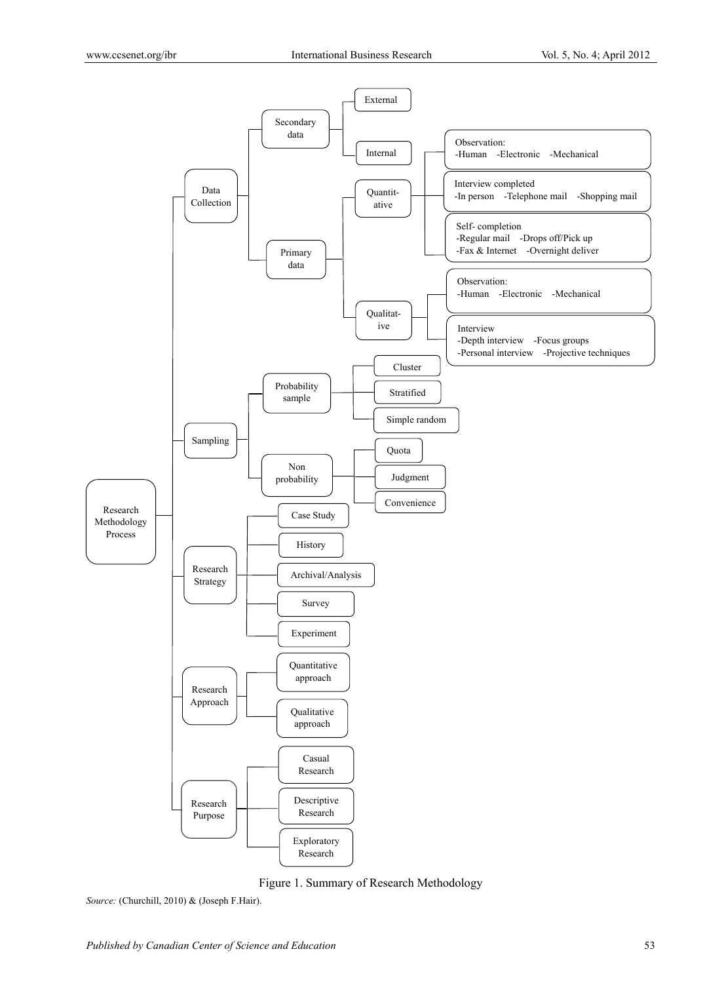

Figure 1. Summary of Research Methodology

*Source:* (Churchill, 2010) & (Joseph F.Hair).